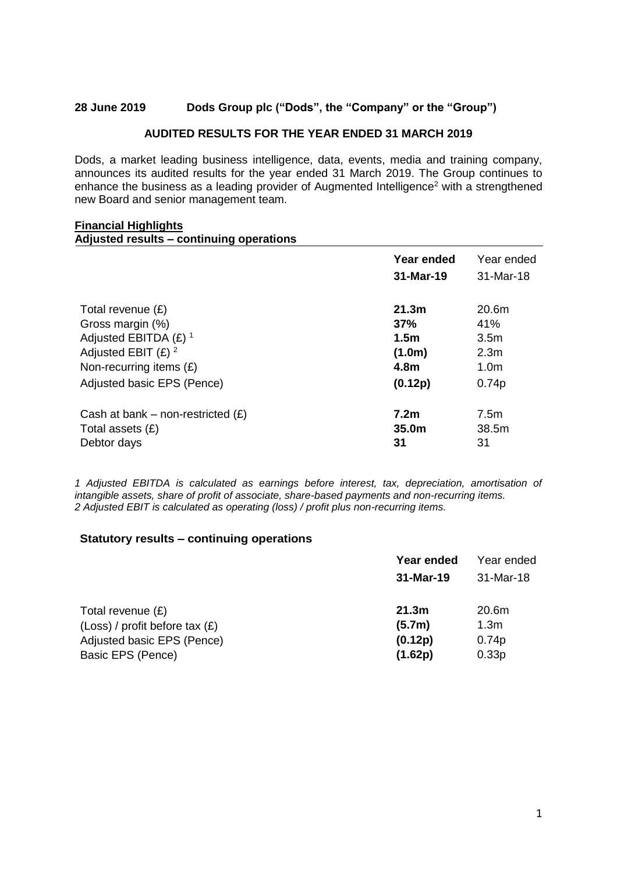### **28 June 2019 Dods Group plc ("Dods", the "Company" or the "Group")**

## **AUDITED RESULTS FOR THE YEAR ENDED 31 MARCH 2019**

Dods, a market leading business intelligence, data, events, media and training company, announces its audited results for the year ended 31 March 2019. The Group continues to enhance the business as a leading provider of Augmented Intelligence<sup>2</sup> with a strengthened new Board and senior management team.

### **Financial Highlights Adjusted results – continuing operations**

|                                     | Year ended<br>$31-Mar-19$ | Year ended<br>31-Mar-18 |
|-------------------------------------|---------------------------|-------------------------|
| Total revenue $(E)$                 | 21.3 <sub>m</sub>         | 20.6m                   |
| Gross margin (%)                    | 37%                       | 41%                     |
| Adjusted EBITDA $(E)$ <sup>1</sup>  | 1.5 <sub>m</sub>          | 3.5 <sub>m</sub>        |
| Adjusted EBIT $(E)$ <sup>2</sup>    | (1.0m)                    | 2.3 <sub>m</sub>        |
| Non-recurring items $(E)$           | 4.8m                      | 1.0 <sub>m</sub>        |
| Adjusted basic EPS (Pence)          | (0.12p)                   | 0.74p                   |
| Cash at bank – non-restricted $(E)$ | 7.2 <sub>m</sub>          | 7.5m                    |
| Total assets $(E)$                  | 35.0m                     | 38.5m                   |
| Debtor days                         | 31                        | 31                      |

*1 Adjusted EBITDA is calculated as earnings before interest, tax, depreciation, amortisation of intangible assets, share of profit of associate, share-based payments and non-recurring items. 2 Adjusted EBIT is calculated as operating (loss) / profit plus non-recurring items.*

### **Statutory results – continuing operations**

|                                    | Year ended        | Year ended        |
|------------------------------------|-------------------|-------------------|
|                                    | 31-Mar-19         | 31-Mar-18         |
| Total revenue $(E)$                | 21.3 <sub>m</sub> | 20.6m             |
| $(Loss)$ / profit before tax $(E)$ | (5.7m)            | 1.3 <sub>m</sub>  |
| Adjusted basic EPS (Pence)         | (0.12p)           | 0.74p             |
| Basic EPS (Pence)                  | (1.62p)           | 0.33 <sub>p</sub> |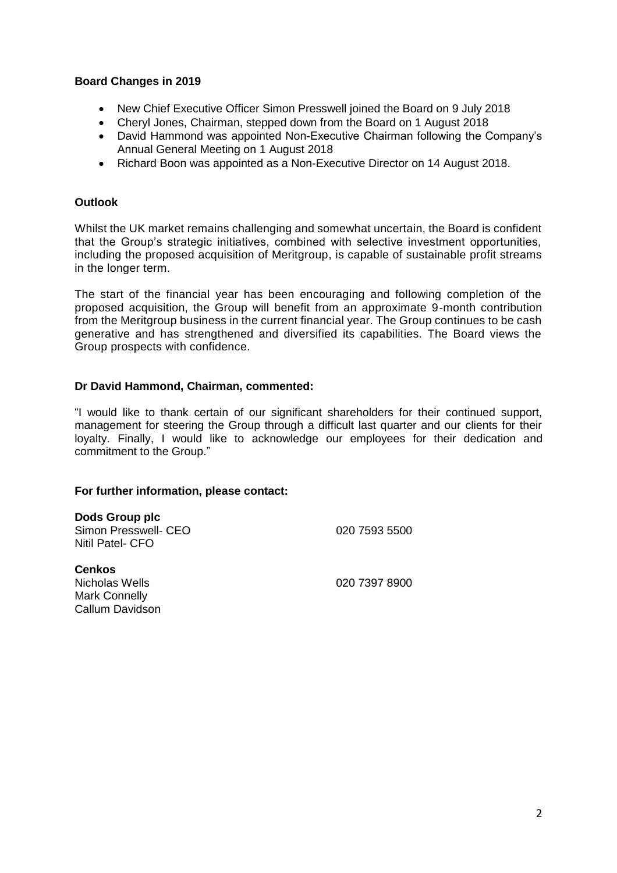### **Board Changes in 2019**

- New Chief Executive Officer Simon Presswell joined the Board on 9 July 2018
- Cheryl Jones, Chairman, stepped down from the Board on 1 August 2018
- David Hammond was appointed Non-Executive Chairman following the Company's Annual General Meeting on 1 August 2018
- Richard Boon was appointed as a Non-Executive Director on 14 August 2018.

### **Outlook**

Whilst the UK market remains challenging and somewhat uncertain, the Board is confident that the Group's strategic initiatives, combined with selective investment opportunities, including the proposed acquisition of Meritgroup, is capable of sustainable profit streams in the longer term.

The start of the financial year has been encouraging and following completion of the proposed acquisition, the Group will benefit from an approximate 9-month contribution from the Meritgroup business in the current financial year. The Group continues to be cash generative and has strengthened and diversified its capabilities. The Board views the Group prospects with confidence.

### **Dr David Hammond, Chairman, commented:**

"I would like to thank certain of our significant shareholders for their continued support, management for steering the Group through a difficult last quarter and our clients for their loyalty. Finally, I would like to acknowledge our employees for their dedication and commitment to the Group."

### **For further information, please contact:**

| Dods Group plc       |               |
|----------------------|---------------|
| Simon Presswell- CEO | 020 7593 5500 |
| Nitil Patel- CFO     |               |
| <b>Cenkos</b>        |               |
| Nicholas Wells       | 020 7397 8900 |
| Mark Connelly        |               |
| Callum Davidson      |               |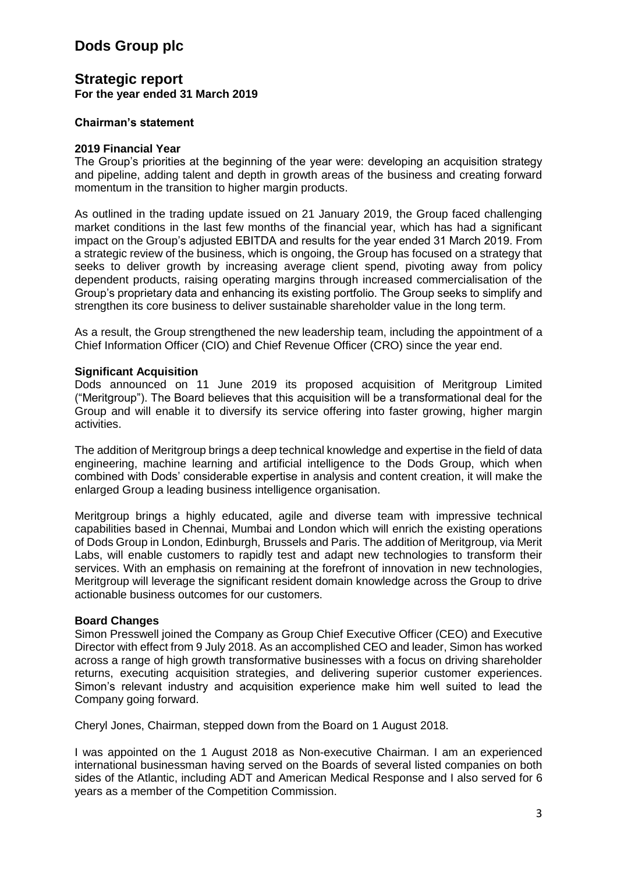## **Strategic report For the year ended 31 March 2019**

### **Chairman's statement**

### **2019 Financial Year**

The Group's priorities at the beginning of the year were: developing an acquisition strategy and pipeline, adding talent and depth in growth areas of the business and creating forward momentum in the transition to higher margin products.

As outlined in the trading update issued on 21 January 2019, the Group faced challenging market conditions in the last few months of the financial year, which has had a significant impact on the Group's adjusted EBITDA and results for the year ended 31 March 2019. From a strategic review of the business, which is ongoing, the Group has focused on a strategy that seeks to deliver growth by increasing average client spend, pivoting away from policy dependent products, raising operating margins through increased commercialisation of the Group's proprietary data and enhancing its existing portfolio. The Group seeks to simplify and strengthen its core business to deliver sustainable shareholder value in the long term.

As a result, the Group strengthened the new leadership team, including the appointment of a Chief Information Officer (CIO) and Chief Revenue Officer (CRO) since the year end.

### **Significant Acquisition**

Dods announced on 11 June 2019 its proposed acquisition of Meritgroup Limited ("Meritgroup"). The Board believes that this acquisition will be a transformational deal for the Group and will enable it to diversify its service offering into faster growing, higher margin activities.

The addition of Meritgroup brings a deep technical knowledge and expertise in the field of data engineering, machine learning and artificial intelligence to the Dods Group, which when combined with Dods' considerable expertise in analysis and content creation, it will make the enlarged Group a leading business intelligence organisation.

Meritgroup brings a highly educated, agile and diverse team with impressive technical capabilities based in Chennai, Mumbai and London which will enrich the existing operations of Dods Group in London, Edinburgh, Brussels and Paris. The addition of Meritgroup, via Merit Labs, will enable customers to rapidly test and adapt new technologies to transform their services. With an emphasis on remaining at the forefront of innovation in new technologies, Meritgroup will leverage the significant resident domain knowledge across the Group to drive actionable business outcomes for our customers.

### **Board Changes**

Simon Presswell joined the Company as Group Chief Executive Officer (CEO) and Executive Director with effect from 9 July 2018. As an accomplished CEO and leader, Simon has worked across a range of high growth transformative businesses with a focus on driving shareholder returns, executing acquisition strategies, and delivering superior customer experiences. Simon's relevant industry and acquisition experience make him well suited to lead the Company going forward.

Cheryl Jones, Chairman, stepped down from the Board on 1 August 2018.

I was appointed on the 1 August 2018 as Non-executive Chairman. I am an experienced international businessman having served on the Boards of several listed companies on both sides of the Atlantic, including ADT and American Medical Response and I also served for 6 years as a member of the Competition Commission.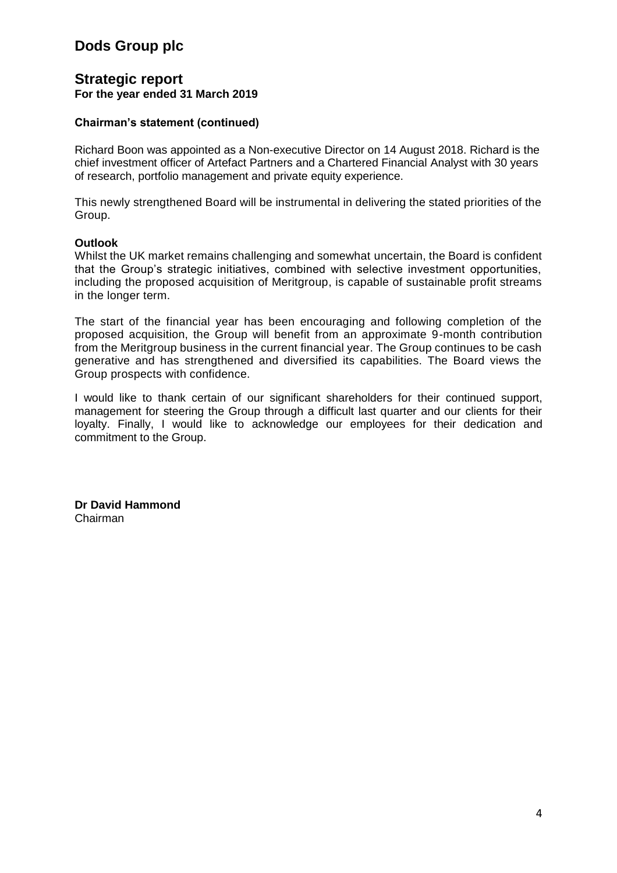## **Strategic report For the year ended 31 March 2019**

### **Chairman's statement (continued)**

Richard Boon was appointed as a Non-executive Director on 14 August 2018. Richard is the chief investment officer of Artefact Partners and a Chartered Financial Analyst with 30 years of research, portfolio management and private equity experience.

This newly strengthened Board will be instrumental in delivering the stated priorities of the Group.

### **Outlook**

Whilst the UK market remains challenging and somewhat uncertain, the Board is confident that the Group's strategic initiatives, combined with selective investment opportunities, including the proposed acquisition of Meritgroup, is capable of sustainable profit streams in the longer term.

The start of the financial year has been encouraging and following completion of the proposed acquisition, the Group will benefit from an approximate 9-month contribution from the Meritgroup business in the current financial year. The Group continues to be cash generative and has strengthened and diversified its capabilities. The Board views the Group prospects with confidence.

I would like to thank certain of our significant shareholders for their continued support, management for steering the Group through a difficult last quarter and our clients for their loyalty. Finally, I would like to acknowledge our employees for their dedication and commitment to the Group.

**Dr David Hammond** Chairman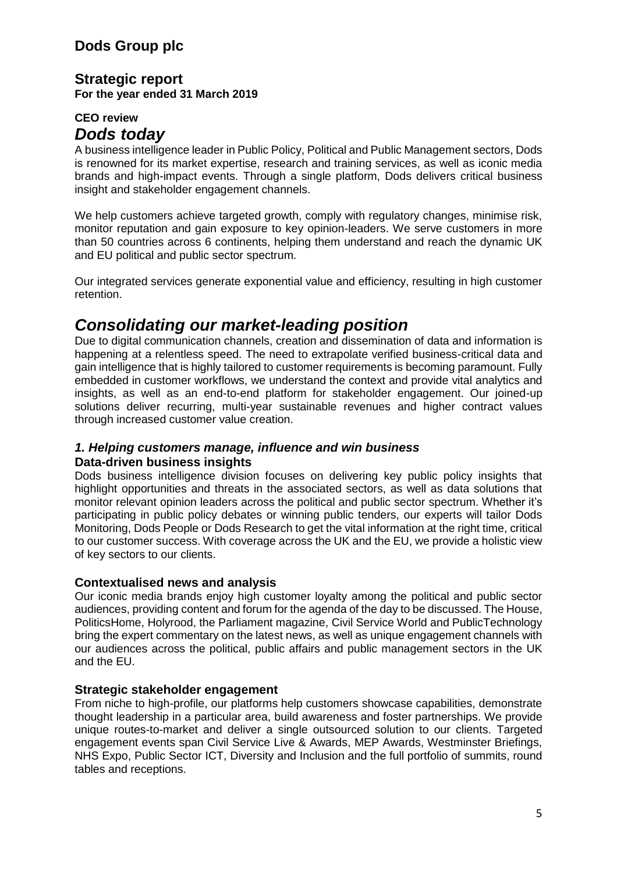## **Strategic report For the year ended 31 March 2019**

## **CEO review** *Dods today*

A business intelligence leader in Public Policy, Political and Public Management sectors, Dods is renowned for its market expertise, research and training services, as well as iconic media brands and high-impact events. Through a single platform, Dods delivers critical business insight and stakeholder engagement channels.

We help customers achieve targeted growth, comply with regulatory changes, minimise risk, monitor reputation and gain exposure to key opinion-leaders. We serve customers in more than 50 countries across 6 continents, helping them understand and reach the dynamic UK and EU political and public sector spectrum.

Our integrated services generate exponential value and efficiency, resulting in high customer retention.

# *Consolidating our market-leading position*

Due to digital communication channels, creation and dissemination of data and information is happening at a relentless speed. The need to extrapolate verified business-critical data and gain intelligence that is highly tailored to customer requirements is becoming paramount. Fully embedded in customer workflows, we understand the context and provide vital analytics and insights, as well as an end-to-end platform for stakeholder engagement. Our joined-up solutions deliver recurring, multi-year sustainable revenues and higher contract values through increased customer value creation.

## *1. Helping customers manage, influence and win business*

## **Data-driven business insights**

Dods business intelligence division focuses on delivering key public policy insights that highlight opportunities and threats in the associated sectors, as well as data solutions that monitor relevant opinion leaders across the political and public sector spectrum. Whether it's participating in public policy debates or winning public tenders, our experts will tailor Dods Monitoring, Dods People or Dods Research to get the vital information at the right time, critical to our customer success. With coverage across the UK and the EU, we provide a holistic view of key sectors to our clients.

## **Contextualised news and analysis**

Our iconic media brands enjoy high customer loyalty among the political and public sector audiences, providing content and forum for the agenda of the day to be discussed. The House, PoliticsHome, Holyrood, the Parliament magazine, Civil Service World and PublicTechnology bring the expert commentary on the latest news, as well as unique engagement channels with our audiences across the political, public affairs and public management sectors in the UK and the EU.

## **Strategic stakeholder engagement**

From niche to high-profile, our platforms help customers showcase capabilities, demonstrate thought leadership in a particular area, build awareness and foster partnerships. We provide unique routes-to-market and deliver a single outsourced solution to our clients. Targeted engagement events span Civil Service Live & Awards, MEP Awards, Westminster Briefings, NHS Expo, Public Sector ICT, Diversity and Inclusion and the full portfolio of summits, round tables and receptions.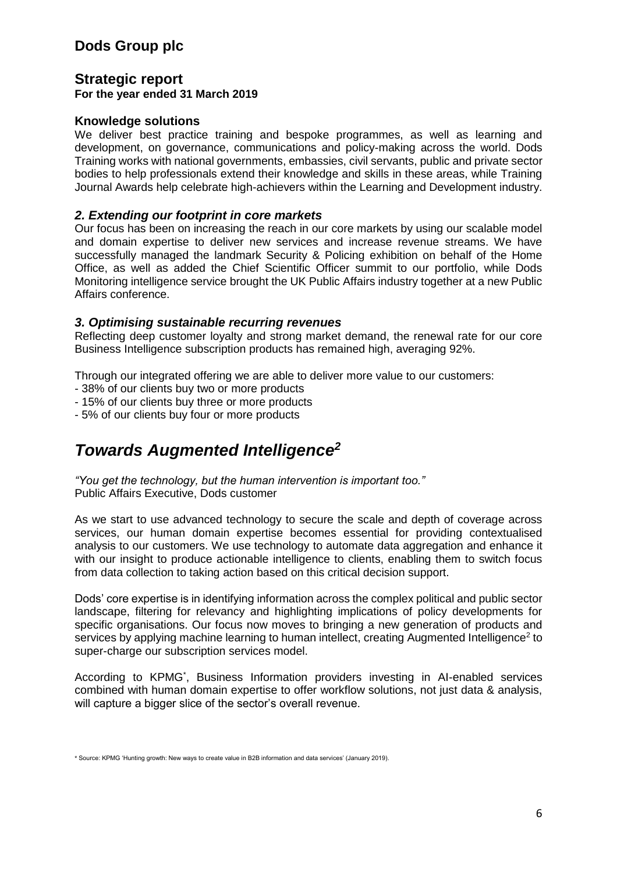## **Strategic report**

### **For the year ended 31 March 2019**

## **Knowledge solutions**

We deliver best practice training and bespoke programmes, as well as learning and development, on governance, communications and policy-making across the world. Dods Training works with national governments, embassies, civil servants, public and private sector bodies to help professionals extend their knowledge and skills in these areas, while Training Journal Awards help celebrate high-achievers within the Learning and Development industry.

### *2. Extending our footprint in core markets*

Our focus has been on increasing the reach in our core markets by using our scalable model and domain expertise to deliver new services and increase revenue streams. We have successfully managed the landmark Security & Policing exhibition on behalf of the Home Office, as well as added the Chief Scientific Officer summit to our portfolio, while Dods Monitoring intelligence service brought the UK Public Affairs industry together at a new Public Affairs conference.

### *3. Optimising sustainable recurring revenues*

Reflecting deep customer loyalty and strong market demand, the renewal rate for our core Business Intelligence subscription products has remained high, averaging 92%.

Through our integrated offering we are able to deliver more value to our customers:

- 38% of our clients buy two or more products
- 15% of our clients buy three or more products
- 5% of our clients buy four or more products

# *Towards Augmented Intelligence<sup>2</sup>*

*"You get the technology, but the human intervention is important too."* Public Affairs Executive, Dods customer

As we start to use advanced technology to secure the scale and depth of coverage across services, our human domain expertise becomes essential for providing contextualised analysis to our customers. We use technology to automate data aggregation and enhance it with our insight to produce actionable intelligence to clients, enabling them to switch focus from data collection to taking action based on this critical decision support.

Dods' core expertise is in identifying information across the complex political and public sector landscape, filtering for relevancy and highlighting implications of policy developments for specific organisations. Our focus now moves to bringing a new generation of products and services by applying machine learning to human intellect, creating Augmented Intelligence<sup>2</sup> to super-charge our subscription services model.

According to KPMG\* , Business Information providers investing in AI-enabled services combined with human domain expertise to offer workflow solutions, not just data & analysis, will capture a bigger slice of the sector's overall revenue.

<sup>\*</sup> Source: KPMG 'Hunting growth: New ways to create value in B2B information and data services' (January 2019).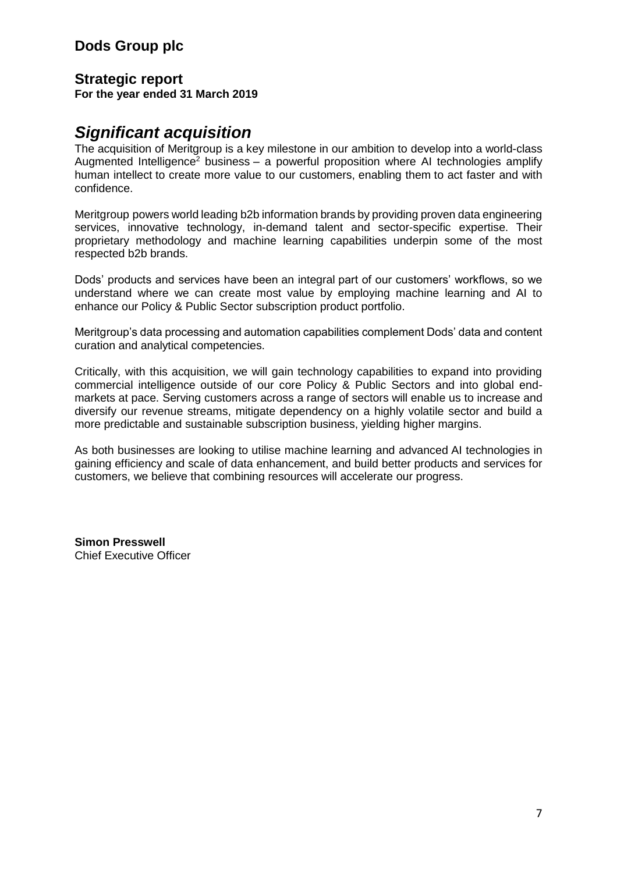## **Strategic report**

**For the year ended 31 March 2019**

## *Significant acquisition*

The acquisition of Meritgroup is a key milestone in our ambition to develop into a world-class Augmented Intelligence<sup>2</sup> business – a powerful proposition where AI technologies amplify human intellect to create more value to our customers, enabling them to act faster and with confidence.

Meritgroup powers world leading b2b information brands by providing proven data engineering services, innovative technology, in-demand talent and sector-specific expertise. Their proprietary methodology and machine learning capabilities underpin some of the most respected b2b brands.

Dods' products and services have been an integral part of our customers' workflows, so we understand where we can create most value by employing machine learning and AI to enhance our Policy & Public Sector subscription product portfolio.

Meritgroup's data processing and automation capabilities complement Dods' data and content curation and analytical competencies.

Critically, with this acquisition, we will gain technology capabilities to expand into providing commercial intelligence outside of our core Policy & Public Sectors and into global endmarkets at pace. Serving customers across a range of sectors will enable us to increase and diversify our revenue streams, mitigate dependency on a highly volatile sector and build a more predictable and sustainable subscription business, yielding higher margins.

As both businesses are looking to utilise machine learning and advanced AI technologies in gaining efficiency and scale of data enhancement, and build better products and services for customers, we believe that combining resources will accelerate our progress.

**Simon Presswell** Chief Executive Officer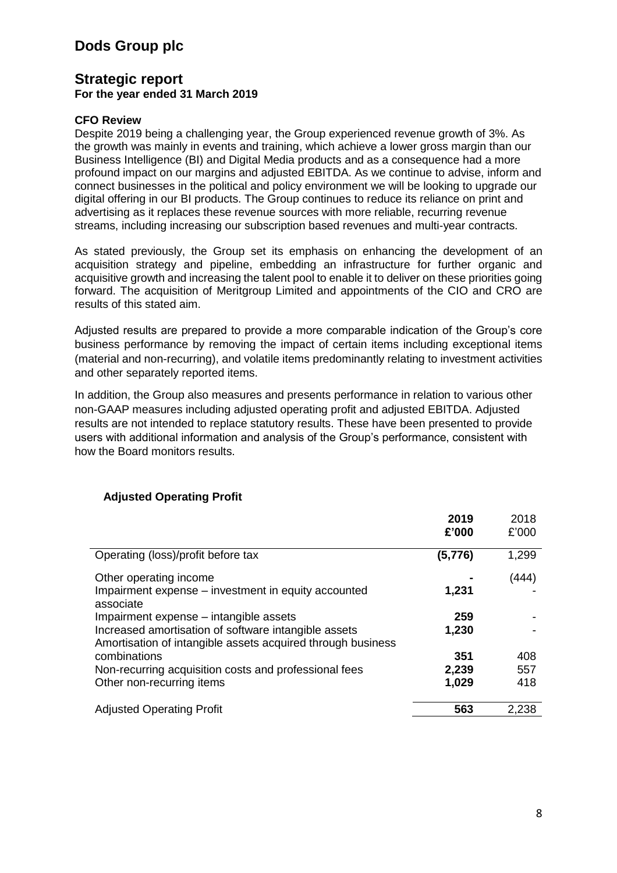## **Strategic report For the year ended 31 March 2019**

## **CFO Review**

Despite 2019 being a challenging year, the Group experienced revenue growth of 3%. As the growth was mainly in events and training, which achieve a lower gross margin than our Business Intelligence (BI) and Digital Media products and as a consequence had a more profound impact on our margins and adjusted EBITDA. As we continue to advise, inform and connect businesses in the political and policy environment we will be looking to upgrade our digital offering in our BI products. The Group continues to reduce its reliance on print and advertising as it replaces these revenue sources with more reliable, recurring revenue streams, including increasing our subscription based revenues and multi-year contracts.

As stated previously, the Group set its emphasis on enhancing the development of an acquisition strategy and pipeline, embedding an infrastructure for further organic and acquisitive growth and increasing the talent pool to enable it to deliver on these priorities going forward. The acquisition of Meritgroup Limited and appointments of the CIO and CRO are results of this stated aim.

Adjusted results are prepared to provide a more comparable indication of the Group's core business performance by removing the impact of certain items including exceptional items (material and non-recurring), and volatile items predominantly relating to investment activities and other separately reported items.

In addition, the Group also measures and presents performance in relation to various other non-GAAP measures including adjusted operating profit and adjusted EBITDA. Adjusted results are not intended to replace statutory results. These have been presented to provide users with additional information and analysis of the Group's performance, consistent with how the Board monitors results.

|                                                                                                                                                               | 2019<br>£'000         | 2018<br>£'000     |
|---------------------------------------------------------------------------------------------------------------------------------------------------------------|-----------------------|-------------------|
| Operating (loss)/profit before tax                                                                                                                            | (5,776)               | 1,299             |
| Other operating income<br>Impairment expense – investment in equity accounted<br>associate                                                                    | 1,231                 | (444)             |
| Impairment expense – intangible assets<br>Increased amortisation of software intangible assets<br>Amortisation of intangible assets acquired through business | 259<br>1,230          |                   |
| combinations<br>Non-recurring acquisition costs and professional fees<br>Other non-recurring items                                                            | 351<br>2,239<br>1,029 | 408<br>557<br>418 |
| <b>Adjusted Operating Profit</b>                                                                                                                              | 563                   | 2,238             |

## **Adjusted Operating Profit**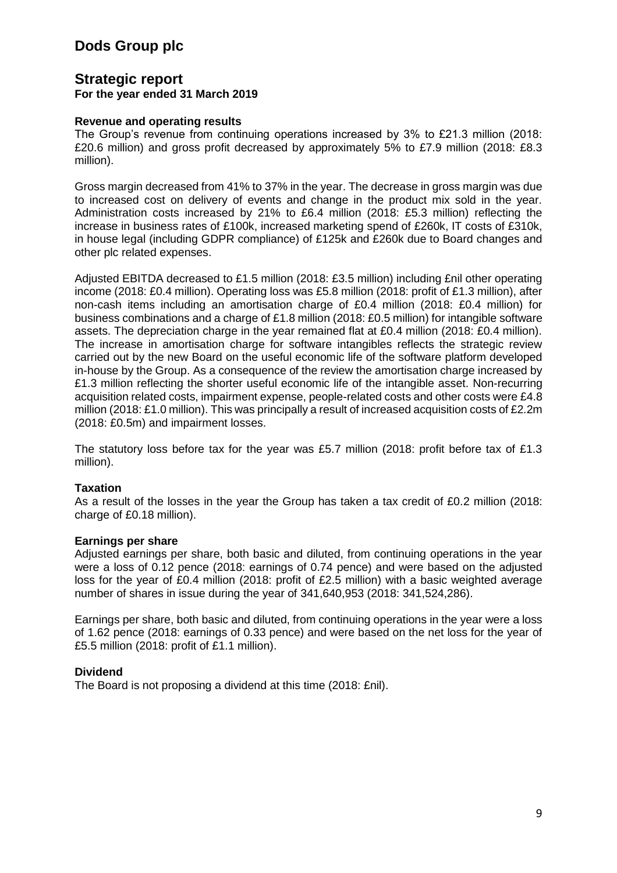## **Strategic report**

**For the year ended 31 March 2019**

## **Revenue and operating results**

The Group's revenue from continuing operations increased by 3% to £21.3 million (2018: £20.6 million) and gross profit decreased by approximately 5% to £7.9 million (2018: £8.3 million).

Gross margin decreased from 41% to 37% in the year. The decrease in gross margin was due to increased cost on delivery of events and change in the product mix sold in the year. Administration costs increased by 21% to £6.4 million (2018: £5.3 million) reflecting the increase in business rates of £100k, increased marketing spend of £260k, IT costs of £310k, in house legal (including GDPR compliance) of £125k and £260k due to Board changes and other plc related expenses.

Adjusted EBITDA decreased to £1.5 million (2018: £3.5 million) including £nil other operating income (2018: £0.4 million). Operating loss was £5.8 million (2018: profit of £1.3 million), after non-cash items including an amortisation charge of £0.4 million (2018: £0.4 million) for business combinations and a charge of £1.8 million (2018: £0.5 million) for intangible software assets. The depreciation charge in the year remained flat at £0.4 million (2018: £0.4 million). The increase in amortisation charge for software intangibles reflects the strategic review carried out by the new Board on the useful economic life of the software platform developed in-house by the Group. As a consequence of the review the amortisation charge increased by £1.3 million reflecting the shorter useful economic life of the intangible asset. Non-recurring acquisition related costs, impairment expense, people-related costs and other costs were £4.8 million (2018: £1.0 million). This was principally a result of increased acquisition costs of £2.2m (2018: £0.5m) and impairment losses.

The statutory loss before tax for the year was £5.7 million (2018: profit before tax of £1.3 million).

### **Taxation**

As a result of the losses in the year the Group has taken a tax credit of £0.2 million (2018: charge of £0.18 million).

### **Earnings per share**

Adjusted earnings per share, both basic and diluted, from continuing operations in the year were a loss of 0.12 pence (2018: earnings of 0.74 pence) and were based on the adjusted loss for the year of £0.4 million (2018: profit of £2.5 million) with a basic weighted average number of shares in issue during the year of 341,640,953 (2018: 341,524,286).

Earnings per share, both basic and diluted, from continuing operations in the year were a loss of 1.62 pence (2018: earnings of 0.33 pence) and were based on the net loss for the year of £5.5 million (2018: profit of £1.1 million).

### **Dividend**

The Board is not proposing a dividend at this time (2018: £nil).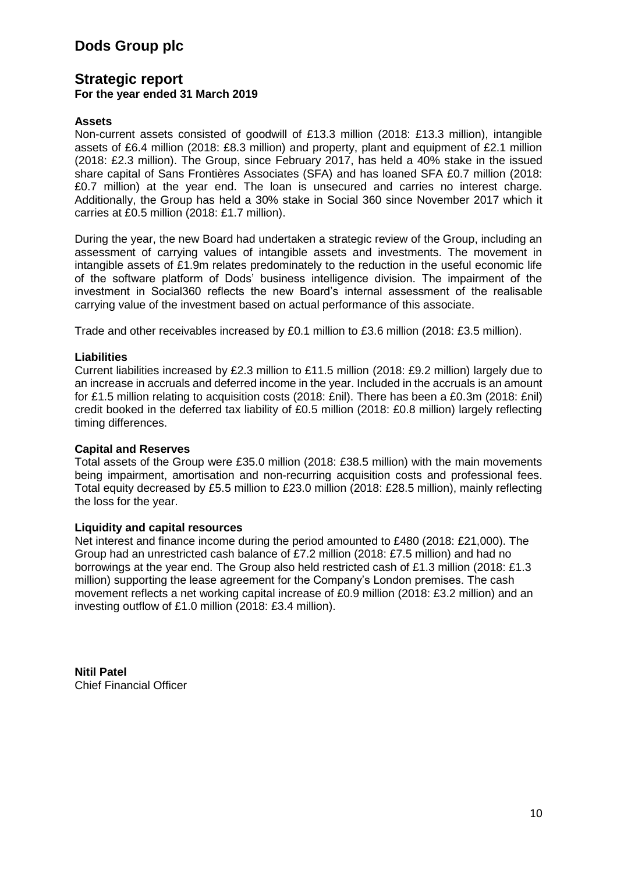# **Strategic report**

## **For the year ended 31 March 2019**

### **Assets**

Non-current assets consisted of goodwill of £13.3 million (2018: £13.3 million), intangible assets of £6.4 million (2018: £8.3 million) and property, plant and equipment of £2.1 million (2018: £2.3 million). The Group, since February 2017, has held a 40% stake in the issued share capital of Sans Frontières Associates (SFA) and has loaned SFA £0.7 million (2018: £0.7 million) at the year end. The loan is unsecured and carries no interest charge. Additionally, the Group has held a 30% stake in Social 360 since November 2017 which it carries at £0.5 million (2018: £1.7 million).

During the year, the new Board had undertaken a strategic review of the Group, including an assessment of carrying values of intangible assets and investments. The movement in intangible assets of £1.9m relates predominately to the reduction in the useful economic life of the software platform of Dods' business intelligence division. The impairment of the investment in Social360 reflects the new Board's internal assessment of the realisable carrying value of the investment based on actual performance of this associate.

Trade and other receivables increased by £0.1 million to £3.6 million (2018: £3.5 million).

### **Liabilities**

Current liabilities increased by £2.3 million to £11.5 million (2018: £9.2 million) largely due to an increase in accruals and deferred income in the year. Included in the accruals is an amount for £1.5 million relating to acquisition costs (2018: £nil). There has been a £0.3m (2018: £nil) credit booked in the deferred tax liability of £0.5 million (2018: £0.8 million) largely reflecting timing differences.

### **Capital and Reserves**

Total assets of the Group were £35.0 million (2018: £38.5 million) with the main movements being impairment, amortisation and non-recurring acquisition costs and professional fees. Total equity decreased by £5.5 million to £23.0 million (2018: £28.5 million), mainly reflecting the loss for the year.

### **Liquidity and capital resources**

Net interest and finance income during the period amounted to £480 (2018: £21,000). The Group had an unrestricted cash balance of £7.2 million (2018: £7.5 million) and had no borrowings at the year end. The Group also held restricted cash of £1.3 million (2018: £1.3 million) supporting the lease agreement for the Company's London premises. The cash movement reflects a net working capital increase of £0.9 million (2018: £3.2 million) and an investing outflow of £1.0 million (2018: £3.4 million).

**Nitil Patel** Chief Financial Officer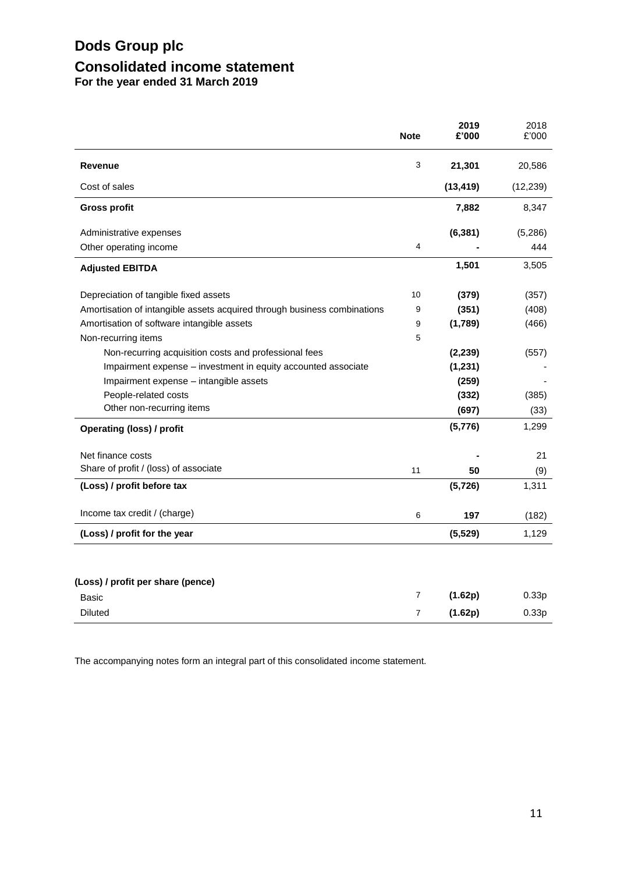# **Consolidated income statement**

**For the year ended 31 March 2019**

|                                                                          | <b>Note</b>    | 2019<br>£'000 | 2018<br>£'000 |
|--------------------------------------------------------------------------|----------------|---------------|---------------|
| <b>Revenue</b>                                                           | 3              | 21,301        | 20,586        |
| Cost of sales                                                            |                | (13, 419)     | (12, 239)     |
| <b>Gross profit</b>                                                      |                | 7,882         | 8,347         |
| Administrative expenses                                                  |                | (6, 381)      | (5,286)       |
| Other operating income                                                   | 4              |               | 444           |
| <b>Adjusted EBITDA</b>                                                   |                | 1,501         | 3,505         |
| Depreciation of tangible fixed assets                                    | 10             | (379)         | (357)         |
| Amortisation of intangible assets acquired through business combinations | 9              | (351)         | (408)         |
| Amortisation of software intangible assets                               | 9              | (1,789)       | (466)         |
| Non-recurring items                                                      | 5              |               |               |
| Non-recurring acquisition costs and professional fees                    |                | (2, 239)      | (557)         |
| Impairment expense - investment in equity accounted associate            |                | (1, 231)      |               |
| Impairment expense - intangible assets                                   |                | (259)         |               |
| People-related costs                                                     |                | (332)         | (385)         |
| Other non-recurring items                                                |                | (697)         | (33)          |
| <b>Operating (loss) / profit</b>                                         |                | (5,776)       | 1,299         |
| Net finance costs                                                        |                |               | 21            |
| Share of profit / (loss) of associate                                    | 11             | 50            | (9)           |
| (Loss) / profit before tax                                               |                | (5, 726)      | 1,311         |
| Income tax credit / (charge)                                             | 6              | 197           | (182)         |
| (Loss) / profit for the year                                             |                | (5, 529)      | 1,129         |
|                                                                          |                |               |               |
| (Loss) / profit per share (pence)                                        |                |               |               |
| Basic                                                                    | $\overline{7}$ | (1.62p)       | 0.33p         |
| <b>Diluted</b>                                                           | $\overline{7}$ | (1.62p)       | 0.33p         |

The accompanying notes form an integral part of this consolidated income statement.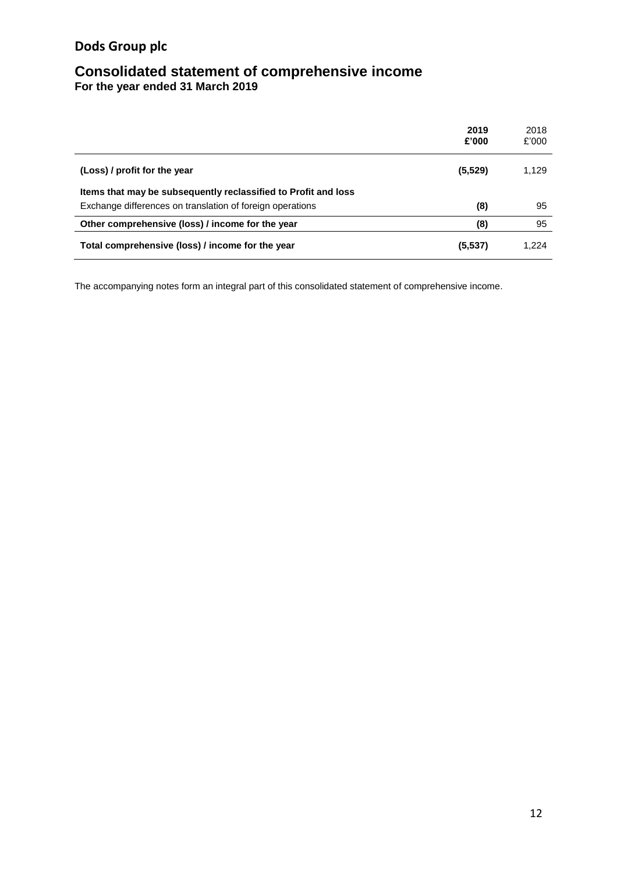## **Consolidated statement of comprehensive income For the year ended 31 March 2019**

|                                                                | 2019<br>£'000 | 2018<br>£'000 |
|----------------------------------------------------------------|---------------|---------------|
| (Loss) / profit for the year                                   | (5, 529)      | 1,129         |
| Items that may be subsequently reclassified to Profit and loss |               |               |
| Exchange differences on translation of foreign operations      | (8)           | 95            |
| Other comprehensive (loss) / income for the year               | (8)           | 95            |
| Total comprehensive (loss) / income for the year               | (5, 537)      | 1,224         |

The accompanying notes form an integral part of this consolidated statement of comprehensive income.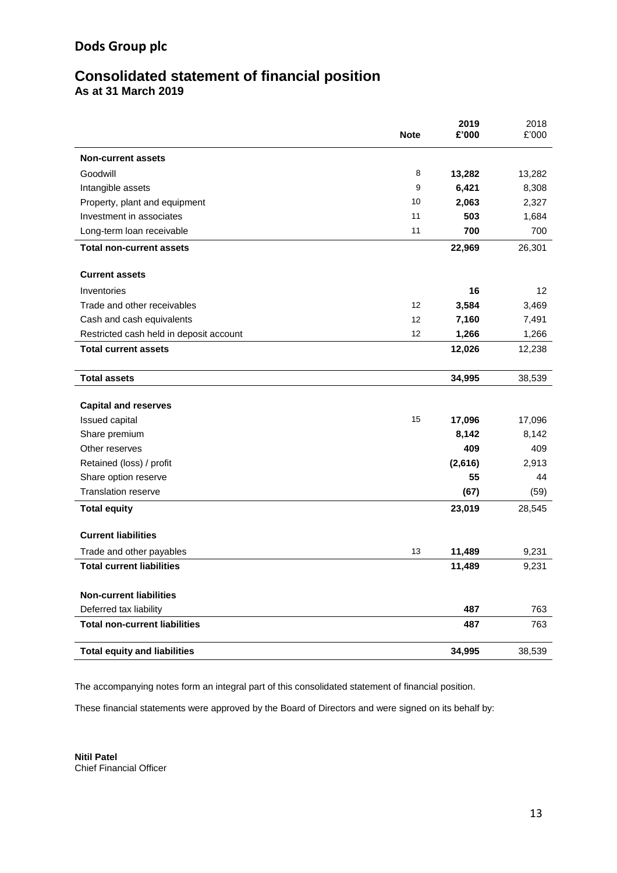# **Consolidated statement of financial position**

**As at 31 March 2019**

|                                         | <b>Note</b> | 2019<br>£'000 | 2018<br>£'000     |
|-----------------------------------------|-------------|---------------|-------------------|
| <b>Non-current assets</b>               |             |               |                   |
| Goodwill                                | 8           | 13,282        | 13,282            |
| Intangible assets                       | 9           | 6,421         | 8,308             |
| Property, plant and equipment           | 10          | 2,063         | 2,327             |
| Investment in associates                | 11          | 503           | 1,684             |
| Long-term loan receivable               | 11          | 700           | 700               |
| <b>Total non-current assets</b>         |             | 22,969        | 26,301            |
| <b>Current assets</b>                   |             |               |                   |
| Inventories                             |             | 16            | $12 \overline{ }$ |
| Trade and other receivables             | 12          | 3,584         | 3,469             |
| Cash and cash equivalents               | 12          | 7,160         | 7,491             |
| Restricted cash held in deposit account | 12          | 1,266         | 1,266             |
| <b>Total current assets</b>             |             | 12,026        | 12,238            |
| <b>Total assets</b>                     |             | 34,995        | 38,539            |
| <b>Capital and reserves</b>             |             |               |                   |
| Issued capital                          | 15          | 17,096        | 17,096            |
| Share premium                           |             | 8,142         | 8,142             |
| Other reserves                          |             | 409           | 409               |
| Retained (loss) / profit                |             | (2,616)       | 2,913             |
| Share option reserve                    |             | 55            | 44                |
| <b>Translation reserve</b>              |             | (67)          | (59)              |
| <b>Total equity</b>                     |             | 23,019        | 28,545            |
| <b>Current liabilities</b>              |             |               |                   |
| Trade and other payables                | 13          | 11,489        | 9,231             |
| <b>Total current liabilities</b>        |             | 11,489        | 9,231             |
| <b>Non-current liabilities</b>          |             |               |                   |
| Deferred tax liability                  |             | 487           | 763               |
| <b>Total non-current liabilities</b>    |             | 487           | 763               |
| <b>Total equity and liabilities</b>     |             | 34,995        | 38,539            |

The accompanying notes form an integral part of this consolidated statement of financial position.

These financial statements were approved by the Board of Directors and were signed on its behalf by:

**Nitil Patel** Chief Financial Officer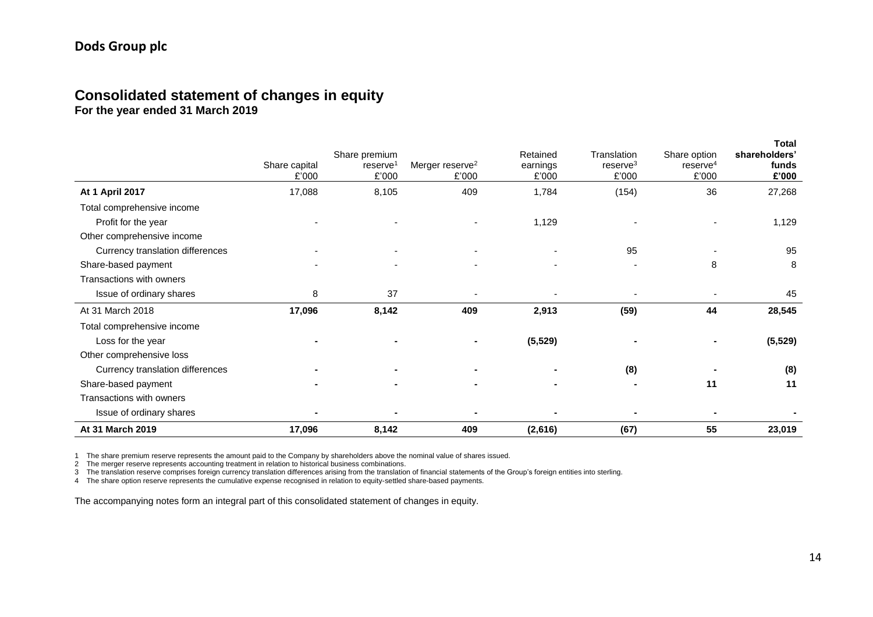# **Consolidated statement of changes in equity**

**For the year ended 31 March 2019**

|                                  | Share capital<br>£'000 | Share premium<br>reserve <sup>1</sup><br>£'000 | Merger reserve <sup>2</sup><br>£'000 | Retained<br>earnings<br>£'000 | Translation<br>reserve <sup>3</sup><br>£'000 | Share option<br>$r$ eserve $4$<br>£'000 | <b>Total</b><br>shareholders'<br>funds<br>£'000 |
|----------------------------------|------------------------|------------------------------------------------|--------------------------------------|-------------------------------|----------------------------------------------|-----------------------------------------|-------------------------------------------------|
| At 1 April 2017                  | 17,088                 | 8,105                                          | 409                                  | 1,784                         | (154)                                        | 36                                      | 27,268                                          |
| Total comprehensive income       |                        |                                                |                                      |                               |                                              |                                         |                                                 |
| Profit for the year              |                        |                                                |                                      | 1,129                         |                                              |                                         | 1,129                                           |
| Other comprehensive income       |                        |                                                |                                      |                               |                                              |                                         |                                                 |
| Currency translation differences |                        |                                                |                                      |                               | 95                                           |                                         | 95                                              |
| Share-based payment              |                        |                                                |                                      |                               |                                              | 8                                       | 8                                               |
| Transactions with owners         |                        |                                                |                                      |                               |                                              |                                         |                                                 |
| Issue of ordinary shares         | 8                      | 37                                             | $\blacksquare$                       |                               | $\blacksquare$                               |                                         | 45                                              |
| At 31 March 2018                 | 17,096                 | 8,142                                          | 409                                  | 2,913                         | (59)                                         | 44                                      | 28,545                                          |
| Total comprehensive income       |                        |                                                |                                      |                               |                                              |                                         |                                                 |
| Loss for the year                |                        |                                                |                                      | (5, 529)                      |                                              |                                         | (5, 529)                                        |
| Other comprehensive loss         |                        |                                                |                                      |                               |                                              |                                         |                                                 |
| Currency translation differences |                        |                                                |                                      |                               | (8)                                          |                                         | (8)                                             |
| Share-based payment              |                        |                                                |                                      |                               |                                              | 11                                      | 11                                              |
| Transactions with owners         |                        |                                                |                                      |                               |                                              |                                         |                                                 |
| Issue of ordinary shares         |                        |                                                |                                      | $\blacksquare$                |                                              |                                         |                                                 |
| At 31 March 2019                 | 17,096                 | 8,142                                          | 409                                  | (2,616)                       | (67)                                         | 55                                      | 23,019                                          |

1 The share premium reserve represents the amount paid to the Company by shareholders above the nominal value of shares issued.

2 The merger reserve represents accounting treatment in relation to historical business combinations.

3 The translation reserve comprises foreign currency translation differences arising from the translation of financial statements of the Group's foreign entities into sterling.

4 The share option reserve represents the cumulative expense recognised in relation to equity-settled share-based payments.

The accompanying notes form an integral part of this consolidated statement of changes in equity.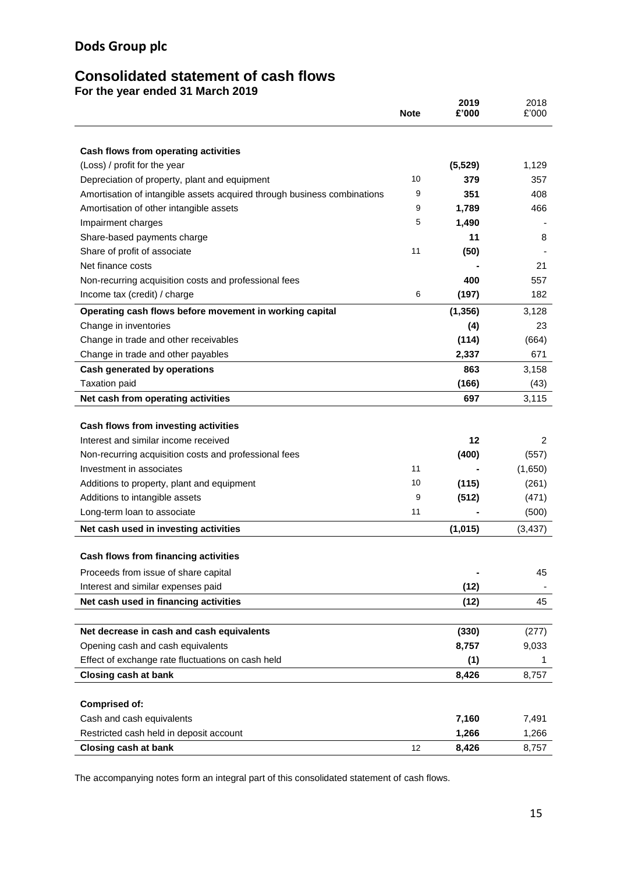## **Consolidated statement of cash flows**

**For the year ended 31 March 2019**

| of the year chucu of maron zo                                            | <b>Note</b> | 2019<br>£'000 | 2018<br>£'000 |
|--------------------------------------------------------------------------|-------------|---------------|---------------|
|                                                                          |             |               |               |
| Cash flows from operating activities                                     |             |               |               |
| (Loss) / profit for the year                                             |             | (5, 529)      | 1,129         |
| Depreciation of property, plant and equipment                            | 10          | 379           | 357           |
| Amortisation of intangible assets acquired through business combinations | 9           | 351           | 408           |
| Amortisation of other intangible assets                                  | 9           | 1,789         | 466           |
| Impairment charges                                                       | 5           | 1,490         |               |
| Share-based payments charge                                              |             | 11            | 8             |
| Share of profit of associate                                             | 11          | (50)          |               |
| Net finance costs                                                        |             |               | 21            |
| Non-recurring acquisition costs and professional fees                    |             | 400           | 557           |
| Income tax (credit) / charge                                             | 6           | (197)         | 182           |
| Operating cash flows before movement in working capital                  |             | (1, 356)      | 3,128         |
| Change in inventories                                                    |             | (4)           | 23            |
| Change in trade and other receivables                                    |             | (114)         | (664)         |
| Change in trade and other payables                                       |             | 2,337         | 671           |
| <b>Cash generated by operations</b>                                      |             | 863           | 3,158         |
| <b>Taxation paid</b>                                                     |             | (166)         | (43)          |
| Net cash from operating activities                                       |             | 697           | 3,115         |
|                                                                          |             |               |               |
| Cash flows from investing activities                                     |             |               |               |
| Interest and similar income received                                     |             | 12            | 2             |
| Non-recurring acquisition costs and professional fees                    |             | (400)         | (557)         |
| Investment in associates                                                 | 11          |               | (1,650)       |
| Additions to property, plant and equipment                               | 10          | (115)         | (261)         |
| Additions to intangible assets                                           | 9           | (512)         | (471)         |
| Long-term loan to associate                                              | 11          |               | (500)         |
| Net cash used in investing activities                                    |             | (1,015)       | (3, 437)      |
| Cash flows from financing activities                                     |             |               |               |
|                                                                          |             |               |               |
| Proceeds from issue of share capital                                     |             |               | 45            |
| Interest and similar expenses paid                                       |             | (12)          |               |
| Net cash used in financing activities                                    |             | (12)          | 45            |
| Net decrease in cash and cash equivalents                                |             | (330)         | (277)         |
| Opening cash and cash equivalents                                        |             | 8,757         | 9,033         |
| Effect of exchange rate fluctuations on cash held                        |             | (1)           | 1             |
| <b>Closing cash at bank</b>                                              |             | 8,426         | 8,757         |
|                                                                          |             |               |               |
| <b>Comprised of:</b>                                                     |             |               |               |
| Cash and cash equivalents                                                |             | 7,160         | 7,491         |
| Restricted cash held in deposit account                                  |             | 1,266         | 1,266         |
| <b>Closing cash at bank</b>                                              | 12          | 8,426         | 8,757         |

The accompanying notes form an integral part of this consolidated statement of cash flows.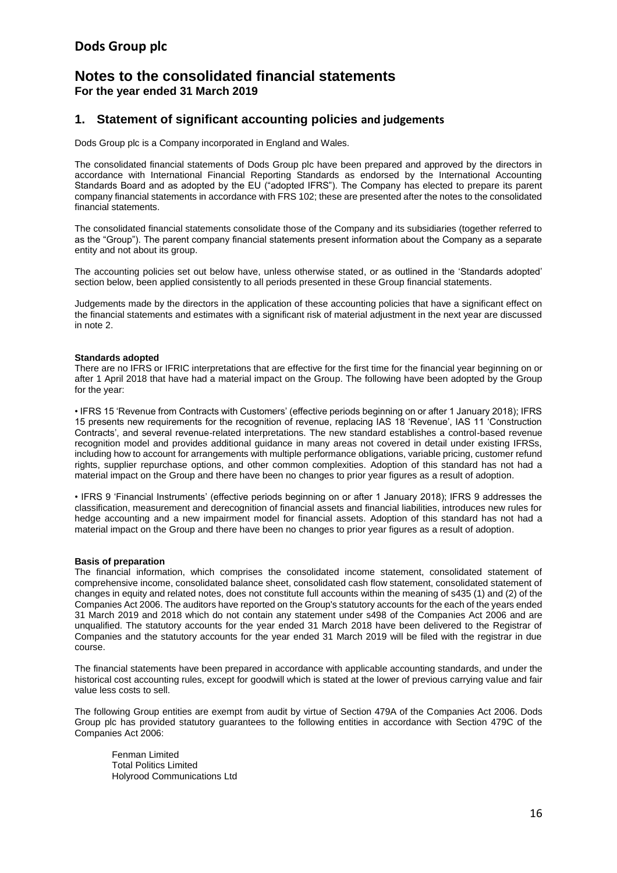## **Notes to the consolidated financial statements For the year ended 31 March 2019**

## **1. Statement of significant accounting policies and judgements**

Dods Group plc is a Company incorporated in England and Wales.

The consolidated financial statements of Dods Group plc have been prepared and approved by the directors in accordance with International Financial Reporting Standards as endorsed by the International Accounting Standards Board and as adopted by the EU ("adopted IFRS"). The Company has elected to prepare its parent company financial statements in accordance with FRS 102; these are presented after the notes to the consolidated financial statements.

The consolidated financial statements consolidate those of the Company and its subsidiaries (together referred to as the "Group"). The parent company financial statements present information about the Company as a separate entity and not about its group.

The accounting policies set out below have, unless otherwise stated, or as outlined in the 'Standards adopted' section below, been applied consistently to all periods presented in these Group financial statements.

Judgements made by the directors in the application of these accounting policies that have a significant effect on the financial statements and estimates with a significant risk of material adjustment in the next year are discussed in note 2.

#### **Standards adopted**

There are no IFRS or IFRIC interpretations that are effective for the first time for the financial year beginning on or after 1 April 2018 that have had a material impact on the Group. The following have been adopted by the Group for the year:

• IFRS 15 'Revenue from Contracts with Customers' (effective periods beginning on or after 1 January 2018); IFRS 15 presents new requirements for the recognition of revenue, replacing IAS 18 'Revenue', IAS 11 'Construction Contracts', and several revenue-related interpretations. The new standard establishes a control-based revenue recognition model and provides additional guidance in many areas not covered in detail under existing IFRSs, including how to account for arrangements with multiple performance obligations, variable pricing, customer refund rights, supplier repurchase options, and other common complexities. Adoption of this standard has not had a material impact on the Group and there have been no changes to prior year figures as a result of adoption.

• IFRS 9 'Financial Instruments' (effective periods beginning on or after 1 January 2018); IFRS 9 addresses the classification, measurement and derecognition of financial assets and financial liabilities, introduces new rules for hedge accounting and a new impairment model for financial assets. Adoption of this standard has not had a material impact on the Group and there have been no changes to prior year figures as a result of adoption.

#### **Basis of preparation**

The financial information, which comprises the consolidated income statement, consolidated statement of comprehensive income, consolidated balance sheet, consolidated cash flow statement, consolidated statement of changes in equity and related notes, does not constitute full accounts within the meaning of s435 (1) and (2) of the Companies Act 2006. The auditors have reported on the Group's statutory accounts for the each of the years ended 31 March 2019 and 2018 which do not contain any statement under s498 of the Companies Act 2006 and are unqualified. The statutory accounts for the year ended 31 March 2018 have been delivered to the Registrar of Companies and the statutory accounts for the year ended 31 March 2019 will be filed with the registrar in due course.

The financial statements have been prepared in accordance with applicable accounting standards, and under the historical cost accounting rules, except for goodwill which is stated at the lower of previous carrying value and fair value less costs to sell.

The following Group entities are exempt from audit by virtue of Section 479A of the Companies Act 2006. Dods Group plc has provided statutory guarantees to the following entities in accordance with Section 479C of the Companies Act 2006:

Fenman Limited Total Politics Limited Holyrood Communications Ltd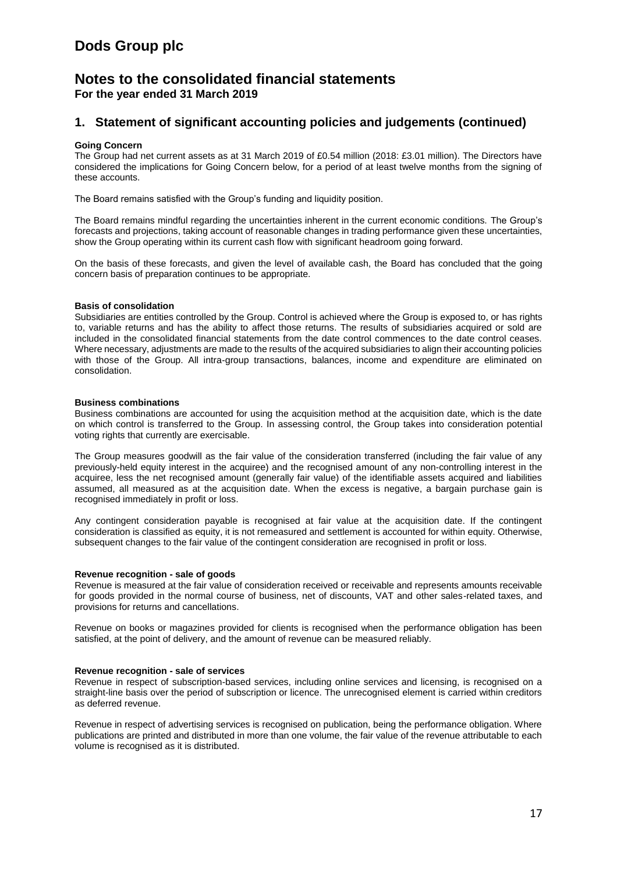## **Notes to the consolidated financial statements For the year ended 31 March 2019**

### **1. Statement of significant accounting policies and judgements (continued)**

#### **Going Concern**

The Group had net current assets as at 31 March 2019 of £0.54 million (2018: £3.01 million). The Directors have considered the implications for Going Concern below, for a period of at least twelve months from the signing of these accounts.

The Board remains satisfied with the Group's funding and liquidity position.

The Board remains mindful regarding the uncertainties inherent in the current economic conditions. The Group's forecasts and projections, taking account of reasonable changes in trading performance given these uncertainties, show the Group operating within its current cash flow with significant headroom going forward.

On the basis of these forecasts, and given the level of available cash, the Board has concluded that the going concern basis of preparation continues to be appropriate.

#### **Basis of consolidation**

Subsidiaries are entities controlled by the Group. Control is achieved where the Group is exposed to, or has rights to, variable returns and has the ability to affect those returns. The results of subsidiaries acquired or sold are included in the consolidated financial statements from the date control commences to the date control ceases. Where necessary, adjustments are made to the results of the acquired subsidiaries to align their accounting policies with those of the Group. All intra-group transactions, balances, income and expenditure are eliminated on consolidation.

#### **Business combinations**

Business combinations are accounted for using the acquisition method at the acquisition date, which is the date on which control is transferred to the Group. In assessing control, the Group takes into consideration potential voting rights that currently are exercisable.

The Group measures goodwill as the fair value of the consideration transferred (including the fair value of any previously-held equity interest in the acquiree) and the recognised amount of any non-controlling interest in the acquiree, less the net recognised amount (generally fair value) of the identifiable assets acquired and liabilities assumed, all measured as at the acquisition date. When the excess is negative, a bargain purchase gain is recognised immediately in profit or loss.

Any contingent consideration payable is recognised at fair value at the acquisition date. If the contingent consideration is classified as equity, it is not remeasured and settlement is accounted for within equity. Otherwise, subsequent changes to the fair value of the contingent consideration are recognised in profit or loss.

#### **Revenue recognition - sale of goods**

Revenue is measured at the fair value of consideration received or receivable and represents amounts receivable for goods provided in the normal course of business, net of discounts, VAT and other sales-related taxes, and provisions for returns and cancellations.

Revenue on books or magazines provided for clients is recognised when the performance obligation has been satisfied, at the point of delivery, and the amount of revenue can be measured reliably.

#### **Revenue recognition - sale of services**

Revenue in respect of subscription-based services, including online services and licensing, is recognised on a straight-line basis over the period of subscription or licence. The unrecognised element is carried within creditors as deferred revenue.

Revenue in respect of advertising services is recognised on publication, being the performance obligation. Where publications are printed and distributed in more than one volume, the fair value of the revenue attributable to each volume is recognised as it is distributed.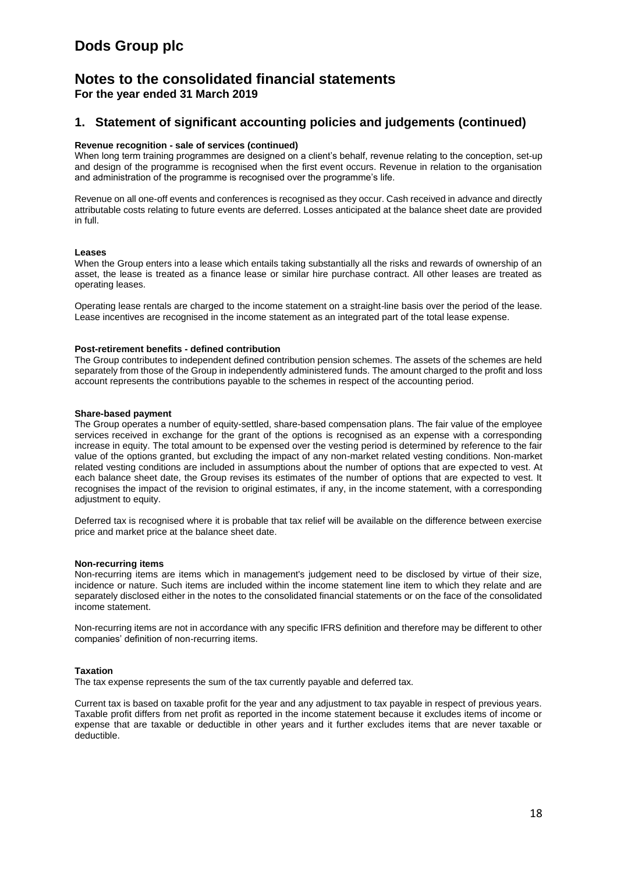## **Notes to the consolidated financial statements**

**For the year ended 31 March 2019**

## **1. Statement of significant accounting policies and judgements (continued)**

#### **Revenue recognition - sale of services (continued)**

When long term training programmes are designed on a client's behalf, revenue relating to the conception, set-up and design of the programme is recognised when the first event occurs. Revenue in relation to the organisation and administration of the programme is recognised over the programme's life.

Revenue on all one-off events and conferences is recognised as they occur. Cash received in advance and directly attributable costs relating to future events are deferred. Losses anticipated at the balance sheet date are provided in full.

#### **Leases**

When the Group enters into a lease which entails taking substantially all the risks and rewards of ownership of an asset, the lease is treated as a finance lease or similar hire purchase contract. All other leases are treated as operating leases.

Operating lease rentals are charged to the income statement on a straight-line basis over the period of the lease. Lease incentives are recognised in the income statement as an integrated part of the total lease expense.

#### **Post-retirement benefits - defined contribution**

The Group contributes to independent defined contribution pension schemes. The assets of the schemes are held separately from those of the Group in independently administered funds. The amount charged to the profit and loss account represents the contributions payable to the schemes in respect of the accounting period.

#### **Share-based payment**

The Group operates a number of equity-settled, share-based compensation plans. The fair value of the employee services received in exchange for the grant of the options is recognised as an expense with a corresponding increase in equity. The total amount to be expensed over the vesting period is determined by reference to the fair value of the options granted, but excluding the impact of any non-market related vesting conditions. Non-market related vesting conditions are included in assumptions about the number of options that are expected to vest. At each balance sheet date, the Group revises its estimates of the number of options that are expected to vest. It recognises the impact of the revision to original estimates, if any, in the income statement, with a corresponding adjustment to equity.

Deferred tax is recognised where it is probable that tax relief will be available on the difference between exercise price and market price at the balance sheet date.

#### **Non-recurring items**

Non-recurring items are items which in management's judgement need to be disclosed by virtue of their size, incidence or nature. Such items are included within the income statement line item to which they relate and are separately disclosed either in the notes to the consolidated financial statements or on the face of the consolidated income statement.

Non-recurring items are not in accordance with any specific IFRS definition and therefore may be different to other companies' definition of non-recurring items.

### **Taxation**

The tax expense represents the sum of the tax currently payable and deferred tax.

Current tax is based on taxable profit for the year and any adjustment to tax payable in respect of previous years. Taxable profit differs from net profit as reported in the income statement because it excludes items of income or expense that are taxable or deductible in other years and it further excludes items that are never taxable or deductible.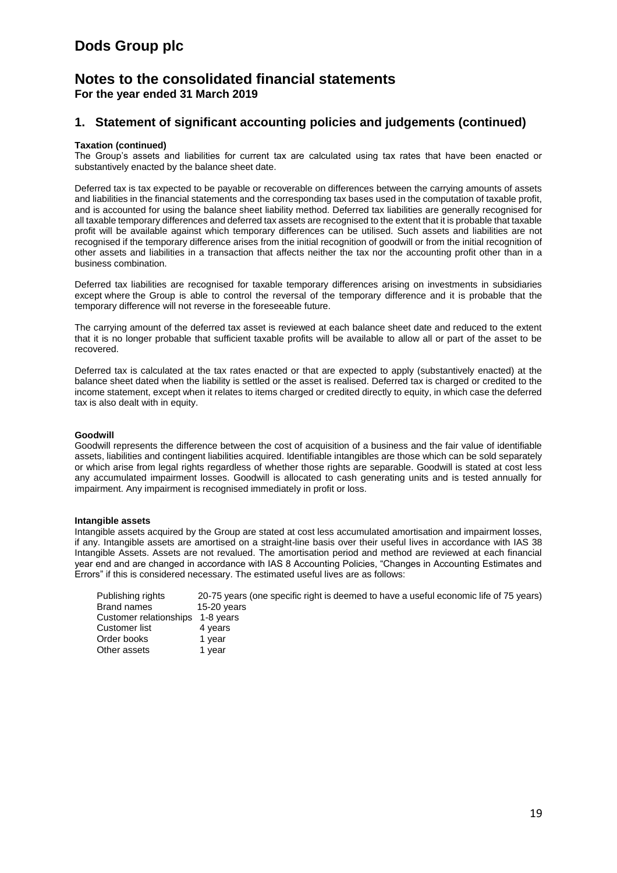## **Notes to the consolidated financial statements For the year ended 31 March 2019**

## **1. Statement of significant accounting policies and judgements (continued)**

#### **Taxation (continued)**

The Group's assets and liabilities for current tax are calculated using tax rates that have been enacted or substantively enacted by the balance sheet date.

Deferred tax is tax expected to be payable or recoverable on differences between the carrying amounts of assets and liabilities in the financial statements and the corresponding tax bases used in the computation of taxable profit, and is accounted for using the balance sheet liability method. Deferred tax liabilities are generally recognised for all taxable temporary differences and deferred tax assets are recognised to the extent that it is probable that taxable profit will be available against which temporary differences can be utilised. Such assets and liabilities are not recognised if the temporary difference arises from the initial recognition of goodwill or from the initial recognition of other assets and liabilities in a transaction that affects neither the tax nor the accounting profit other than in a business combination.

Deferred tax liabilities are recognised for taxable temporary differences arising on investments in subsidiaries except where the Group is able to control the reversal of the temporary difference and it is probable that the temporary difference will not reverse in the foreseeable future.

The carrying amount of the deferred tax asset is reviewed at each balance sheet date and reduced to the extent that it is no longer probable that sufficient taxable profits will be available to allow all or part of the asset to be recovered.

Deferred tax is calculated at the tax rates enacted or that are expected to apply (substantively enacted) at the balance sheet dated when the liability is settled or the asset is realised. Deferred tax is charged or credited to the income statement, except when it relates to items charged or credited directly to equity, in which case the deferred tax is also dealt with in equity.

#### **Goodwill**

Goodwill represents the difference between the cost of acquisition of a business and the fair value of identifiable assets, liabilities and contingent liabilities acquired. Identifiable intangibles are those which can be sold separately or which arise from legal rights regardless of whether those rights are separable. Goodwill is stated at cost less any accumulated impairment losses. Goodwill is allocated to cash generating units and is tested annually for impairment. Any impairment is recognised immediately in profit or loss.

#### **Intangible assets**

Intangible assets acquired by the Group are stated at cost less accumulated amortisation and impairment losses, if any. Intangible assets are amortised on a straight-line basis over their useful lives in accordance with IAS 38 Intangible Assets. Assets are not revalued. The amortisation period and method are reviewed at each financial year end and are changed in accordance with IAS 8 Accounting Policies, "Changes in Accounting Estimates and Errors" if this is considered necessary. The estimated useful lives are as follows:

| Publishing rights                | 20-75 years (one specific right is deemed to have a useful economic life of 75 years) |
|----------------------------------|---------------------------------------------------------------------------------------|
| Brand names                      | 15-20 vears                                                                           |
| Customer relationships 1-8 years |                                                                                       |
| Customer list                    | 4 vears                                                                               |
| Order books                      | l vear                                                                                |
| Other assets                     | vear                                                                                  |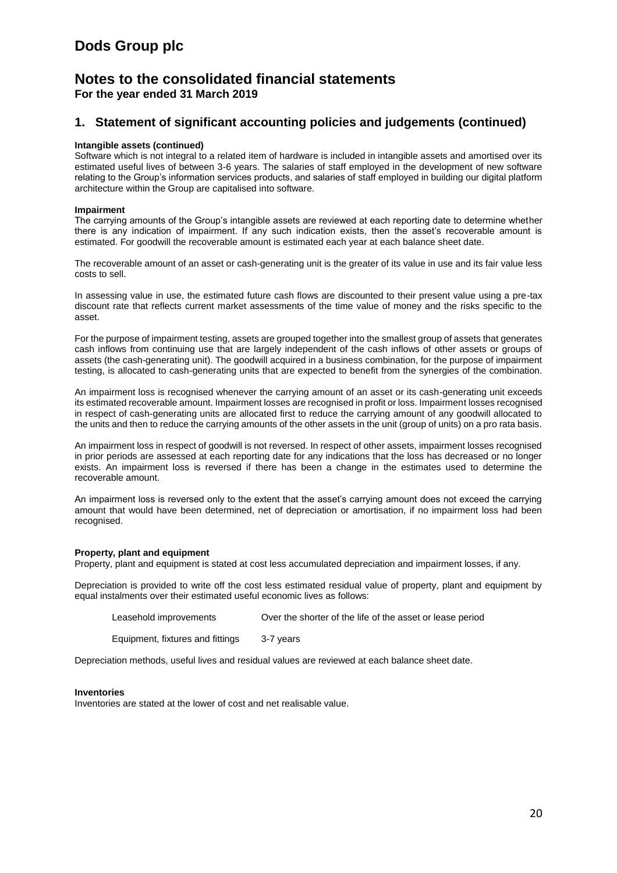# **Notes to the consolidated financial statements**

**For the year ended 31 March 2019**

## **1. Statement of significant accounting policies and judgements (continued)**

#### **Intangible assets (continued)**

Software which is not integral to a related item of hardware is included in intangible assets and amortised over its estimated useful lives of between 3-6 years. The salaries of staff employed in the development of new software relating to the Group's information services products, and salaries of staff employed in building our digital platform architecture within the Group are capitalised into software.

#### **Impairment**

The carrying amounts of the Group's intangible assets are reviewed at each reporting date to determine whether there is any indication of impairment. If any such indication exists, then the asset's recoverable amount is estimated. For goodwill the recoverable amount is estimated each year at each balance sheet date.

The recoverable amount of an asset or cash-generating unit is the greater of its value in use and its fair value less costs to sell.

In assessing value in use, the estimated future cash flows are discounted to their present value using a pre-tax discount rate that reflects current market assessments of the time value of money and the risks specific to the asset.

For the purpose of impairment testing, assets are grouped together into the smallest group of assets that generates cash inflows from continuing use that are largely independent of the cash inflows of other assets or groups of assets (the cash-generating unit). The goodwill acquired in a business combination, for the purpose of impairment testing, is allocated to cash-generating units that are expected to benefit from the synergies of the combination.

An impairment loss is recognised whenever the carrying amount of an asset or its cash-generating unit exceeds its estimated recoverable amount. Impairment losses are recognised in profit or loss. Impairment losses recognised in respect of cash-generating units are allocated first to reduce the carrying amount of any goodwill allocated to the units and then to reduce the carrying amounts of the other assets in the unit (group of units) on a pro rata basis.

An impairment loss in respect of goodwill is not reversed. In respect of other assets, impairment losses recognised in prior periods are assessed at each reporting date for any indications that the loss has decreased or no longer exists. An impairment loss is reversed if there has been a change in the estimates used to determine the recoverable amount.

An impairment loss is reversed only to the extent that the asset's carrying amount does not exceed the carrying amount that would have been determined, net of depreciation or amortisation, if no impairment loss had been recognised.

### **Property, plant and equipment**

Property, plant and equipment is stated at cost less accumulated depreciation and impairment losses, if any.

Depreciation is provided to write off the cost less estimated residual value of property, plant and equipment by equal instalments over their estimated useful economic lives as follows:

| Leasehold improvements | Over the shorter of the life of the asset or lease period |
|------------------------|-----------------------------------------------------------|
|                        |                                                           |

Equipment, fixtures and fittings 3-7 years

Depreciation methods, useful lives and residual values are reviewed at each balance sheet date.

#### **Inventories**

Inventories are stated at the lower of cost and net realisable value.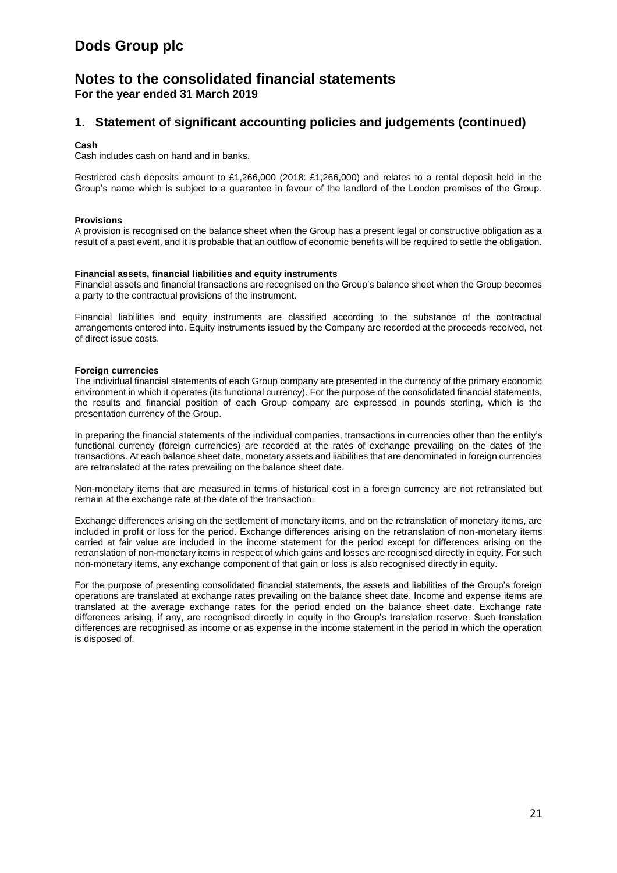## **Notes to the consolidated financial statements For the year ended 31 March 2019**

## **1. Statement of significant accounting policies and judgements (continued)**

#### **Cash**

Cash includes cash on hand and in banks.

Restricted cash deposits amount to £1,266,000 (2018: £1,266,000) and relates to a rental deposit held in the Group's name which is subject to a guarantee in favour of the landlord of the London premises of the Group.

#### **Provisions**

A provision is recognised on the balance sheet when the Group has a present legal or constructive obligation as a result of a past event, and it is probable that an outflow of economic benefits will be required to settle the obligation.

#### **Financial assets, financial liabilities and equity instruments**

Financial assets and financial transactions are recognised on the Group's balance sheet when the Group becomes a party to the contractual provisions of the instrument.

Financial liabilities and equity instruments are classified according to the substance of the contractual arrangements entered into. Equity instruments issued by the Company are recorded at the proceeds received, net of direct issue costs.

#### **Foreign currencies**

The individual financial statements of each Group company are presented in the currency of the primary economic environment in which it operates (its functional currency). For the purpose of the consolidated financial statements, the results and financial position of each Group company are expressed in pounds sterling, which is the presentation currency of the Group.

In preparing the financial statements of the individual companies, transactions in currencies other than the entity's functional currency (foreign currencies) are recorded at the rates of exchange prevailing on the dates of the transactions. At each balance sheet date, monetary assets and liabilities that are denominated in foreign currencies are retranslated at the rates prevailing on the balance sheet date.

Non-monetary items that are measured in terms of historical cost in a foreign currency are not retranslated but remain at the exchange rate at the date of the transaction.

Exchange differences arising on the settlement of monetary items, and on the retranslation of monetary items, are included in profit or loss for the period. Exchange differences arising on the retranslation of non-monetary items carried at fair value are included in the income statement for the period except for differences arising on the retranslation of non-monetary items in respect of which gains and losses are recognised directly in equity. For such non-monetary items, any exchange component of that gain or loss is also recognised directly in equity.

For the purpose of presenting consolidated financial statements, the assets and liabilities of the Group's foreign operations are translated at exchange rates prevailing on the balance sheet date. Income and expense items are translated at the average exchange rates for the period ended on the balance sheet date. Exchange rate differences arising, if any, are recognised directly in equity in the Group's translation reserve. Such translation differences are recognised as income or as expense in the income statement in the period in which the operation is disposed of.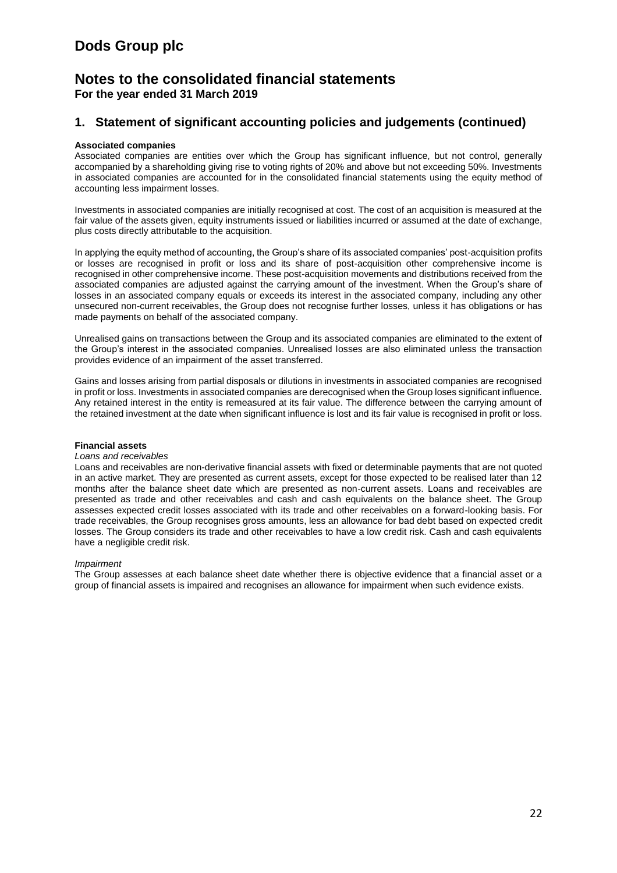## **Notes to the consolidated financial statements For the year ended 31 March 2019**

## **1. Statement of significant accounting policies and judgements (continued)**

#### **Associated companies**

Associated companies are entities over which the Group has significant influence, but not control, generally accompanied by a shareholding giving rise to voting rights of 20% and above but not exceeding 50%. Investments in associated companies are accounted for in the consolidated financial statements using the equity method of accounting less impairment losses.

Investments in associated companies are initially recognised at cost. The cost of an acquisition is measured at the fair value of the assets given, equity instruments issued or liabilities incurred or assumed at the date of exchange, plus costs directly attributable to the acquisition.

In applying the equity method of accounting, the Group's share of its associated companies' post-acquisition profits or losses are recognised in profit or loss and its share of post-acquisition other comprehensive income is recognised in other comprehensive income. These post-acquisition movements and distributions received from the associated companies are adjusted against the carrying amount of the investment. When the Group's share of losses in an associated company equals or exceeds its interest in the associated company, including any other unsecured non-current receivables, the Group does not recognise further losses, unless it has obligations or has made payments on behalf of the associated company.

Unrealised gains on transactions between the Group and its associated companies are eliminated to the extent of the Group's interest in the associated companies. Unrealised losses are also eliminated unless the transaction provides evidence of an impairment of the asset transferred.

Gains and losses arising from partial disposals or dilutions in investments in associated companies are recognised in profit or loss. Investments in associated companies are derecognised when the Group loses significant influence. Any retained interest in the entity is remeasured at its fair value. The difference between the carrying amount of the retained investment at the date when significant influence is lost and its fair value is recognised in profit or loss.

#### **Financial assets**

#### *Loans and receivables*

Loans and receivables are non-derivative financial assets with fixed or determinable payments that are not quoted in an active market. They are presented as current assets, except for those expected to be realised later than 12 months after the balance sheet date which are presented as non-current assets. Loans and receivables are presented as trade and other receivables and cash and cash equivalents on the balance sheet. The Group assesses expected credit losses associated with its trade and other receivables on a forward-looking basis. For trade receivables, the Group recognises gross amounts, less an allowance for bad debt based on expected credit losses. The Group considers its trade and other receivables to have a low credit risk. Cash and cash equivalents have a negligible credit risk.

#### *Impairment*

The Group assesses at each balance sheet date whether there is objective evidence that a financial asset or a group of financial assets is impaired and recognises an allowance for impairment when such evidence exists.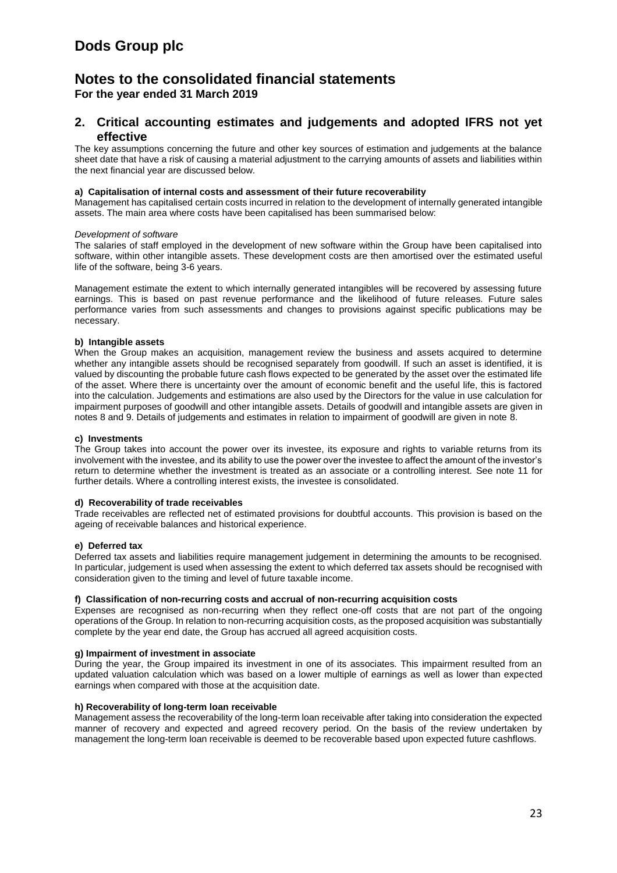# **Notes to the consolidated financial statements**

## **For the year ended 31 March 2019**

### **2. Critical accounting estimates and judgements and adopted IFRS not yet effective**

The key assumptions concerning the future and other key sources of estimation and judgements at the balance sheet date that have a risk of causing a material adjustment to the carrying amounts of assets and liabilities within the next financial year are discussed below.

#### **a) Capitalisation of internal costs and assessment of their future recoverability**

Management has capitalised certain costs incurred in relation to the development of internally generated intangible assets. The main area where costs have been capitalised has been summarised below:

#### *Development of software*

The salaries of staff employed in the development of new software within the Group have been capitalised into software, within other intangible assets. These development costs are then amortised over the estimated useful life of the software, being 3-6 years.

Management estimate the extent to which internally generated intangibles will be recovered by assessing future earnings. This is based on past revenue performance and the likelihood of future releases. Future sales performance varies from such assessments and changes to provisions against specific publications may be necessary.

#### **b) Intangible assets**

When the Group makes an acquisition, management review the business and assets acquired to determine whether any intangible assets should be recognised separately from goodwill. If such an asset is identified, it is valued by discounting the probable future cash flows expected to be generated by the asset over the estimated life of the asset. Where there is uncertainty over the amount of economic benefit and the useful life, this is factored into the calculation. Judgements and estimations are also used by the Directors for the value in use calculation for impairment purposes of goodwill and other intangible assets. Details of goodwill and intangible assets are given in notes 8 and 9. Details of judgements and estimates in relation to impairment of goodwill are given in note 8.

### **c) Investments**

The Group takes into account the power over its investee, its exposure and rights to variable returns from its involvement with the investee, and its ability to use the power over the investee to affect the amount of the investor's return to determine whether the investment is treated as an associate or a controlling interest. See note 11 for further details. Where a controlling interest exists, the investee is consolidated.

#### **d) Recoverability of trade receivables**

Trade receivables are reflected net of estimated provisions for doubtful accounts. This provision is based on the ageing of receivable balances and historical experience.

#### **e) Deferred tax**

Deferred tax assets and liabilities require management judgement in determining the amounts to be recognised. In particular, judgement is used when assessing the extent to which deferred tax assets should be recognised with consideration given to the timing and level of future taxable income.

#### **f) Classification of non-recurring costs and accrual of non-recurring acquisition costs**

Expenses are recognised as non-recurring when they reflect one-off costs that are not part of the ongoing operations of the Group. In relation to non-recurring acquisition costs, as the proposed acquisition was substantially complete by the year end date, the Group has accrued all agreed acquisition costs.

### **g) Impairment of investment in associate**

During the year, the Group impaired its investment in one of its associates. This impairment resulted from an updated valuation calculation which was based on a lower multiple of earnings as well as lower than expected earnings when compared with those at the acquisition date.

#### **h) Recoverability of long-term loan receivable**

Management assess the recoverability of the long-term loan receivable after taking into consideration the expected manner of recovery and expected and agreed recovery period. On the basis of the review undertaken by management the long-term loan receivable is deemed to be recoverable based upon expected future cashflows.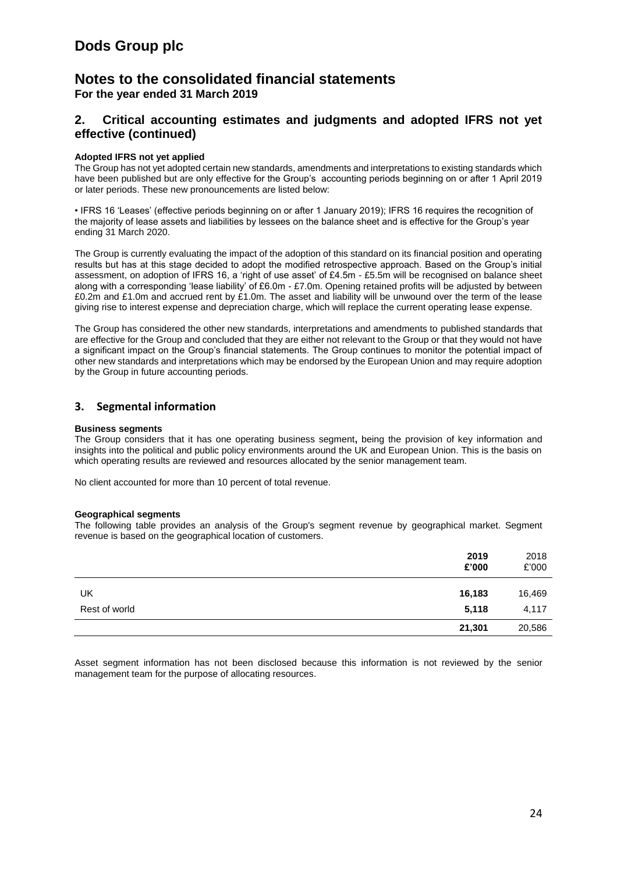# **Notes to the consolidated financial statements**

**For the year ended 31 March 2019**

## **2. Critical accounting estimates and judgments and adopted IFRS not yet effective (continued)**

### **Adopted IFRS not yet applied**

The Group has not yet adopted certain new standards, amendments and interpretations to existing standards which have been published but are only effective for the Group's accounting periods beginning on or after 1 April 2019 or later periods. These new pronouncements are listed below:

• IFRS 16 'Leases' (effective periods beginning on or after 1 January 2019); IFRS 16 requires the recognition of the majority of lease assets and liabilities by lessees on the balance sheet and is effective for the Group's year ending 31 March 2020.

The Group is currently evaluating the impact of the adoption of this standard on its financial position and operating results but has at this stage decided to adopt the modified retrospective approach. Based on the Group's initial assessment, on adoption of IFRS 16, a 'right of use asset' of £4.5m - £5.5m will be recognised on balance sheet along with a corresponding 'lease liability' of £6.0m - £7.0m. Opening retained profits will be adjusted by between £0.2m and £1.0m and accrued rent by £1.0m. The asset and liability will be unwound over the term of the lease giving rise to interest expense and depreciation charge, which will replace the current operating lease expense.

The Group has considered the other new standards, interpretations and amendments to published standards that are effective for the Group and concluded that they are either not relevant to the Group or that they would not have a significant impact on the Group's financial statements. The Group continues to monitor the potential impact of other new standards and interpretations which may be endorsed by the European Union and may require adoption by the Group in future accounting periods.

### **3. Segmental information**

### **Business segments**

The Group considers that it has one operating business segment**,** being the provision of key information and insights into the political and public policy environments around the UK and European Union. This is the basis on which operating results are reviewed and resources allocated by the senior management team.

No client accounted for more than 10 percent of total revenue.

### **Geographical segments**

The following table provides an analysis of the Group's segment revenue by geographical market. Segment revenue is based on the geographical location of customers.

|                     | 2019<br>£'000   | 2018<br>£'000   |
|---------------------|-----------------|-----------------|
| UK<br>Rest of world | 16,183<br>5,118 | 16,469<br>4,117 |
|                     | 21,301          | 20,586          |

Asset segment information has not been disclosed because this information is not reviewed by the senior management team for the purpose of allocating resources.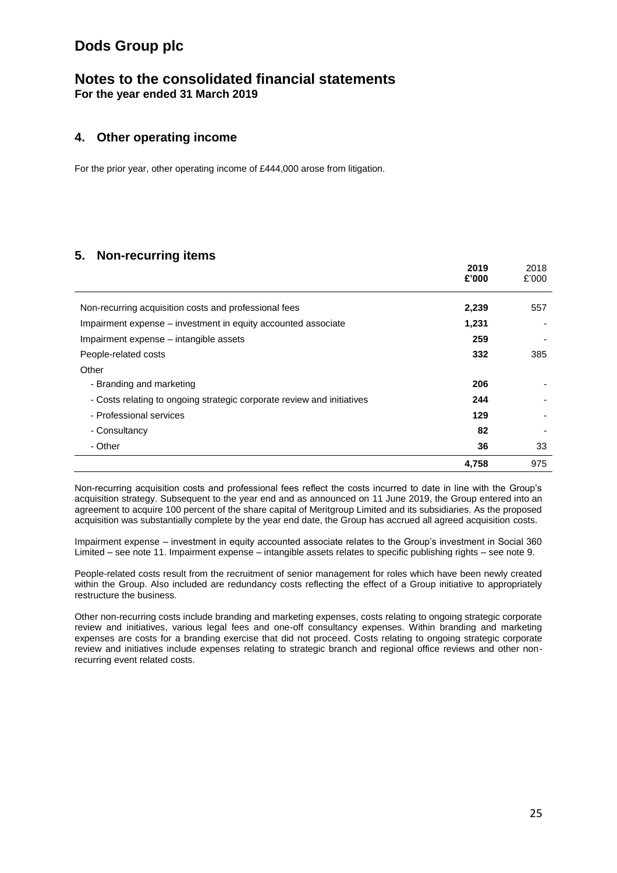## **Notes to the consolidated financial statements For the year ended 31 March 2019**

## **4. Other operating income**

For the prior year, other operating income of £444,000 arose from litigation.

## **5. Non-recurring items**

|                                                                        | 2019<br>£'000 | 2018<br>£'000 |
|------------------------------------------------------------------------|---------------|---------------|
| Non-recurring acquisition costs and professional fees                  | 2,239         | 557           |
| Impairment expense – investment in equity accounted associate          | 1,231         |               |
| Impairment expense - intangible assets                                 | 259           |               |
| People-related costs                                                   | 332           | 385           |
| Other                                                                  |               |               |
| - Branding and marketing                                               | 206           |               |
| - Costs relating to ongoing strategic corporate review and initiatives | 244           |               |
| - Professional services                                                | 129           |               |
| - Consultancy                                                          | 82            |               |
| - Other                                                                | 36            | 33            |
|                                                                        | 4,758         | 975           |

Non-recurring acquisition costs and professional fees reflect the costs incurred to date in line with the Group's acquisition strategy. Subsequent to the year end and as announced on 11 June 2019, the Group entered into an agreement to acquire 100 percent of the share capital of Meritgroup Limited and its subsidiaries. As the proposed acquisition was substantially complete by the year end date, the Group has accrued all agreed acquisition costs.

Impairment expense – investment in equity accounted associate relates to the Group's investment in Social 360 Limited – see note 11. Impairment expense – intangible assets relates to specific publishing rights – see note 9.

People-related costs result from the recruitment of senior management for roles which have been newly created within the Group. Also included are redundancy costs reflecting the effect of a Group initiative to appropriately restructure the business.

Other non-recurring costs include branding and marketing expenses, costs relating to ongoing strategic corporate review and initiatives, various legal fees and one-off consultancy expenses. Within branding and marketing expenses are costs for a branding exercise that did not proceed. Costs relating to ongoing strategic corporate review and initiatives include expenses relating to strategic branch and regional office reviews and other nonrecurring event related costs.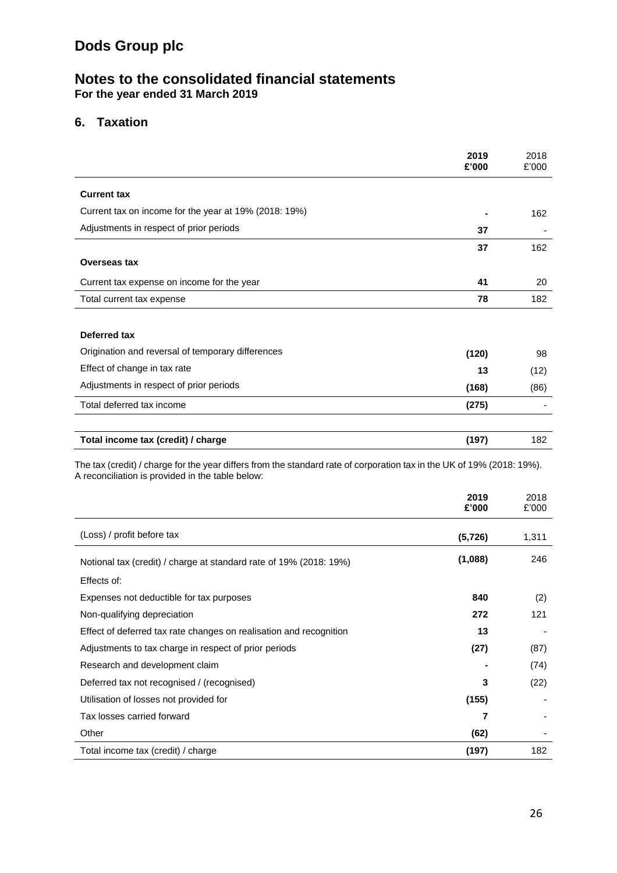## **Notes to the consolidated financial statements For the year ended 31 March 2019**

## **6. Taxation**

|                                                                                                                                                                            | 2019<br>£'000 | 2018<br>£'000  |
|----------------------------------------------------------------------------------------------------------------------------------------------------------------------------|---------------|----------------|
| <b>Current tax</b>                                                                                                                                                         |               |                |
| Current tax on income for the year at 19% (2018: 19%)                                                                                                                      |               | 162            |
| Adjustments in respect of prior periods                                                                                                                                    | 37            |                |
|                                                                                                                                                                            | 37            | 162            |
| Overseas tax                                                                                                                                                               |               |                |
| Current tax expense on income for the year                                                                                                                                 | 41            | 20             |
| Total current tax expense                                                                                                                                                  | 78            | 182            |
|                                                                                                                                                                            |               |                |
| <b>Deferred tax</b>                                                                                                                                                        |               |                |
| Origination and reversal of temporary differences                                                                                                                          | (120)         | 98             |
| Effect of change in tax rate                                                                                                                                               | 13            | (12)           |
| Adjustments in respect of prior periods                                                                                                                                    | (168)         | (86)           |
| Total deferred tax income                                                                                                                                                  | (275)         |                |
|                                                                                                                                                                            |               |                |
| Total income tax (credit) / charge                                                                                                                                         | (197)         | 182            |
| The tax (credit) / charge for the year differs from the standard rate of corporation tax in the UK of 19% (2018: 19%).<br>A reconciliation is provided in the table below: |               |                |
|                                                                                                                                                                            | 2019          | 2018           |
|                                                                                                                                                                            | £'000         | £'000          |
| (Loss) / profit before tax                                                                                                                                                 | (5, 726)      | 1,311          |
| Notional tax (credit) / charge at standard rate of 19% (2018: 19%)                                                                                                         | (1,088)       | 246            |
| Effects of:                                                                                                                                                                |               |                |
| Expenses not deductible for tax purposes                                                                                                                                   | 840           | (2)            |
| المستحقق والمستحيل والمستحل والمتحال والمستحدث والمستحدث                                                                                                                   | 270           | $\overline{A}$ |

| Non-qualifying depreciation                                        | 272   | 121  |
|--------------------------------------------------------------------|-------|------|
| Effect of deferred tax rate changes on realisation and recognition | 13    |      |
| Adjustments to tax charge in respect of prior periods              | (27)  | (87) |
| Research and development claim                                     |       | (74) |
| Deferred tax not recognised / (recognised)                         | 3     | (22) |
| Utilisation of losses not provided for                             | (155) | ٠    |
| Tax losses carried forward                                         |       |      |
| Other                                                              | (62)  |      |
| Total income tax (credit) / charge                                 | (197) | 182  |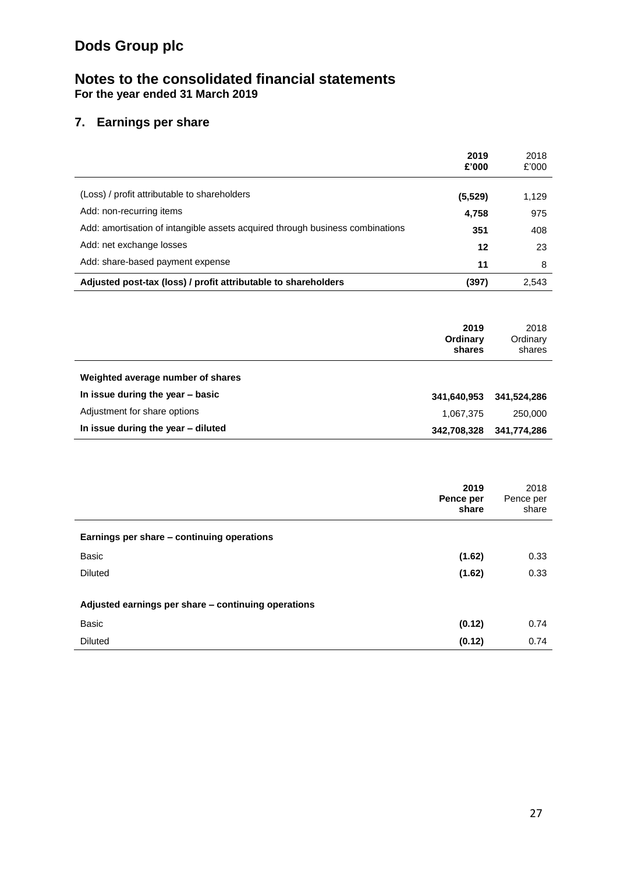## **Notes to the consolidated financial statements For the year ended 31 March 2019**

## **7. Earnings per share**

|                                                                               | 2019<br>£'000 | 2018<br>£'000 |
|-------------------------------------------------------------------------------|---------------|---------------|
| (Loss) / profit attributable to shareholders                                  | (5, 529)      | 1,129         |
| Add: non-recurring items                                                      | 4,758         | 975           |
| Add: amortisation of intangible assets acquired through business combinations | 351           | 408           |
| Add: net exchange losses                                                      | 12            | 23            |
| Add: share-based payment expense                                              | 11            | 8             |
| Adjusted post-tax (loss) / profit attributable to shareholders                | (397)         | 2,543         |

|                                    | 2019<br>Ordinary<br>shares | 2018<br>Ordinary<br>shares |
|------------------------------------|----------------------------|----------------------------|
| Weighted average number of shares  |                            |                            |
| In issue during the year - basic   | 341,640,953                | 341.524.286                |
| Adjustment for share options       | 1,067,375                  | 250,000                    |
| In issue during the year - diluted | 342,708,328                | 341,774,286                |

|                                                     | 2019<br>Pence per<br>share | 2018<br>Pence per<br>share |
|-----------------------------------------------------|----------------------------|----------------------------|
| Earnings per share – continuing operations          |                            |                            |
| Basic                                               | (1.62)                     | 0.33                       |
| <b>Diluted</b>                                      | (1.62)                     | 0.33                       |
| Adjusted earnings per share – continuing operations |                            |                            |
| Basic                                               | (0.12)                     | 0.74                       |
| <b>Diluted</b>                                      | (0.12)                     | 0.74                       |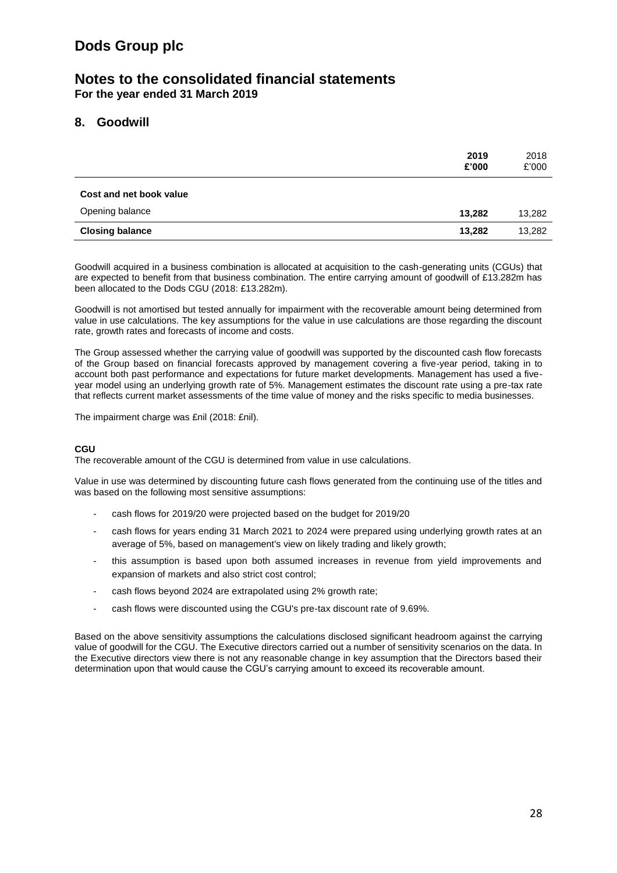## **Notes to the consolidated financial statements For the year ended 31 March 2019**

## **8. Goodwill**

|                         | 2019<br>£'000 | 2018<br>£'000 |
|-------------------------|---------------|---------------|
| Cost and net book value |               |               |
| Opening balance         | 13,282        | 13,282        |
| <b>Closing balance</b>  | 13,282        | 13,282        |

Goodwill acquired in a business combination is allocated at acquisition to the cash-generating units (CGUs) that are expected to benefit from that business combination. The entire carrying amount of goodwill of £13.282m has been allocated to the Dods CGU (2018: £13.282m).

Goodwill is not amortised but tested annually for impairment with the recoverable amount being determined from value in use calculations. The key assumptions for the value in use calculations are those regarding the discount rate, growth rates and forecasts of income and costs.

The Group assessed whether the carrying value of goodwill was supported by the discounted cash flow forecasts of the Group based on financial forecasts approved by management covering a five-year period, taking in to account both past performance and expectations for future market developments. Management has used a fiveyear model using an underlying growth rate of 5%. Management estimates the discount rate using a pre-tax rate that reflects current market assessments of the time value of money and the risks specific to media businesses.

The impairment charge was £nil (2018: £nil).

### **CGU**

The recoverable amount of the CGU is determined from value in use calculations.

Value in use was determined by discounting future cash flows generated from the continuing use of the titles and was based on the following most sensitive assumptions:

- cash flows for 2019/20 were projected based on the budget for 2019/20
- cash flows for years ending 31 March 2021 to 2024 were prepared using underlying growth rates at an average of 5%, based on management's view on likely trading and likely growth;
- this assumption is based upon both assumed increases in revenue from yield improvements and expansion of markets and also strict cost control;
- cash flows beyond 2024 are extrapolated using 2% growth rate;
- cash flows were discounted using the CGU's pre-tax discount rate of 9.69%.

Based on the above sensitivity assumptions the calculations disclosed significant headroom against the carrying value of goodwill for the CGU. The Executive directors carried out a number of sensitivity scenarios on the data. In the Executive directors view there is not any reasonable change in key assumption that the Directors based their determination upon that would cause the CGU's carrying amount to exceed its recoverable amount.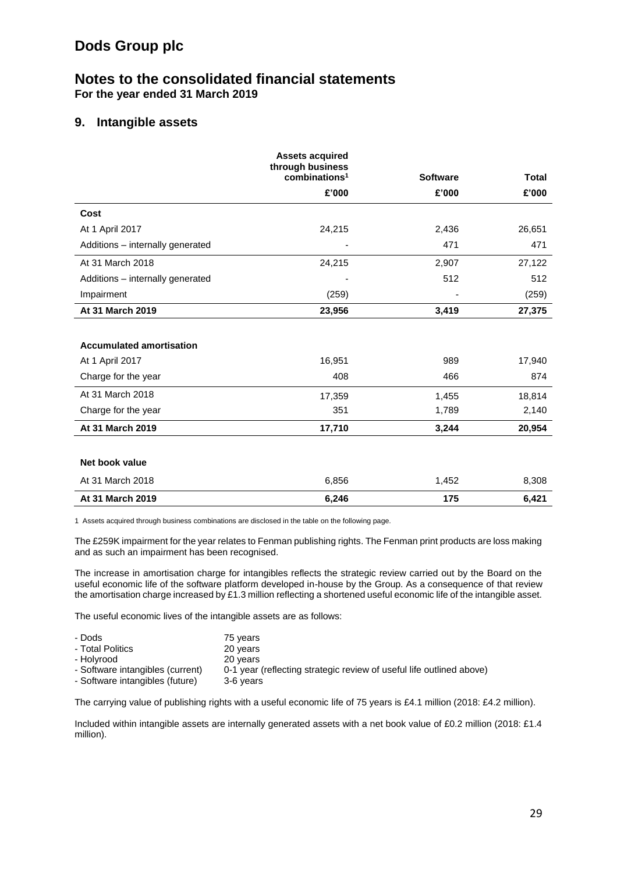## **Notes to the consolidated financial statements For the year ended 31 March 2019**

### **9. Intangible assets**

|                                  | <b>Assets acquired</b><br>through business |                 |        |  |
|----------------------------------|--------------------------------------------|-----------------|--------|--|
|                                  | combinations <sup>1</sup>                  | <b>Software</b> | Total  |  |
|                                  | £'000                                      | £'000           | £'000  |  |
| Cost                             |                                            |                 |        |  |
| At 1 April 2017                  | 24,215                                     | 2,436           | 26,651 |  |
| Additions - internally generated |                                            | 471             | 471    |  |
| At 31 March 2018                 | 24,215                                     | 2,907           | 27,122 |  |
| Additions - internally generated |                                            | 512             | 512    |  |
| Impairment                       | (259)                                      |                 | (259)  |  |
| At 31 March 2019                 | 23,956                                     | 3,419           | 27,375 |  |
|                                  |                                            |                 |        |  |
| <b>Accumulated amortisation</b>  |                                            |                 |        |  |
| At 1 April 2017                  | 16,951                                     | 989             | 17,940 |  |
| Charge for the year              | 408                                        | 466             | 874    |  |
| At 31 March 2018                 | 17,359                                     | 1,455           | 18,814 |  |
| Charge for the year              | 351                                        | 1,789           | 2,140  |  |
| At 31 March 2019                 | 17,710                                     | 3,244           | 20,954 |  |
|                                  |                                            |                 |        |  |
| Net book value                   |                                            |                 |        |  |
| At 31 March 2018                 | 6,856                                      | 1,452           | 8,308  |  |
| At 31 March 2019                 | 6,246                                      | 175             | 6,421  |  |
|                                  |                                            |                 |        |  |

1 Assets acquired through business combinations are disclosed in the table on the following page.

The £259K impairment for the year relates to Fenman publishing rights. The Fenman print products are loss making and as such an impairment has been recognised.

The increase in amortisation charge for intangibles reflects the strategic review carried out by the Board on the useful economic life of the software platform developed in-house by the Group. As a consequence of that review the amortisation charge increased by £1.3 million reflecting a shortened useful economic life of the intangible asset.

The useful economic lives of the intangible assets are as follows:

| - Dods                           | 75 years                                                             |
|----------------------------------|----------------------------------------------------------------------|
| - Total Politics                 | 20 years                                                             |
| - Holvrood                       | 20 years                                                             |
| - Software intangibles (current) | 0-1 year (reflecting strategic review of useful life outlined above) |
| - Software intangibles (future)  | 3-6 years                                                            |

The carrying value of publishing rights with a useful economic life of 75 years is £4.1 million (2018: £4.2 million).

Included within intangible assets are internally generated assets with a net book value of £0.2 million (2018: £1.4 million).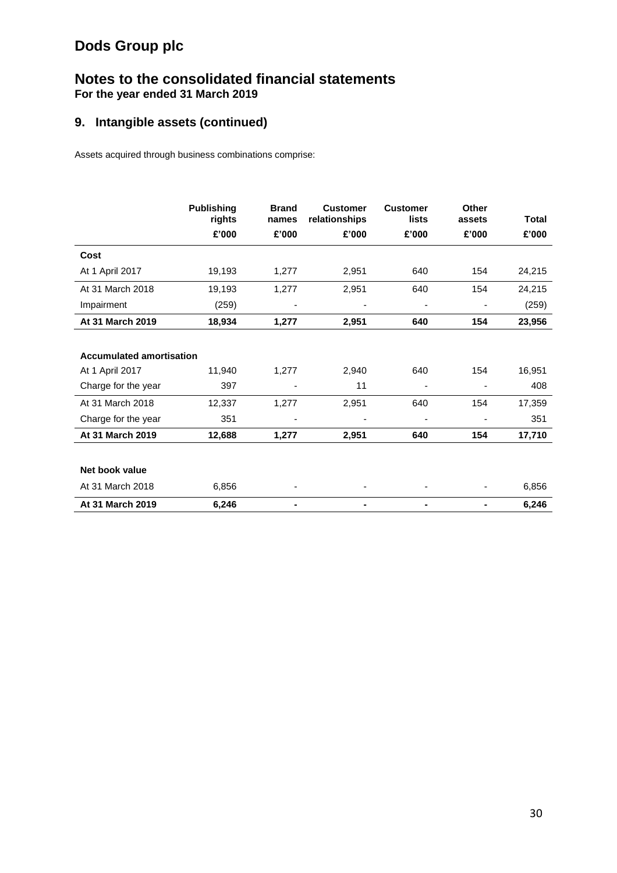## **Notes to the consolidated financial statements For the year ended 31 March 2019**

## **9. Intangible assets (continued)**

Assets acquired through business combinations comprise:

|                                 | <b>Publishing</b><br>rights | <b>Brand</b><br>names | <b>Customer</b><br>relationships | <b>Customer</b><br>lists | Other<br>assets | <b>Total</b> |
|---------------------------------|-----------------------------|-----------------------|----------------------------------|--------------------------|-----------------|--------------|
|                                 | £'000                       | £'000                 | £'000                            | £'000                    | £'000           | £'000        |
| Cost                            |                             |                       |                                  |                          |                 |              |
| At 1 April 2017                 | 19,193                      | 1,277                 | 2,951                            | 640                      | 154             | 24,215       |
| At 31 March 2018                | 19,193                      | 1,277                 | 2,951                            | 640                      | 154             | 24,215       |
| Impairment                      | (259)                       |                       |                                  |                          |                 | (259)        |
| At 31 March 2019                | 18,934                      | 1,277                 | 2,951                            | 640                      | 154             | 23,956       |
|                                 |                             |                       |                                  |                          |                 |              |
| <b>Accumulated amortisation</b> |                             |                       |                                  |                          |                 |              |
| At 1 April 2017                 | 11,940                      | 1,277                 | 2,940                            | 640                      | 154             | 16,951       |
| Charge for the year             | 397                         |                       | 11                               |                          | -               | 408          |
| At 31 March 2018                | 12,337                      | 1,277                 | 2,951                            | 640                      | 154             | 17,359       |
| Charge for the year             | 351                         | ٠                     | ٠                                |                          |                 | 351          |
| At 31 March 2019                | 12,688                      | 1,277                 | 2,951                            | 640                      | 154             | 17,710       |
|                                 |                             |                       |                                  |                          |                 |              |
| Net book value                  |                             |                       |                                  |                          |                 |              |
| At 31 March 2018                | 6,856                       |                       |                                  |                          |                 | 6,856        |
| At 31 March 2019                | 6,246                       | $\blacksquare$        |                                  | ۰                        | ۰               | 6,246        |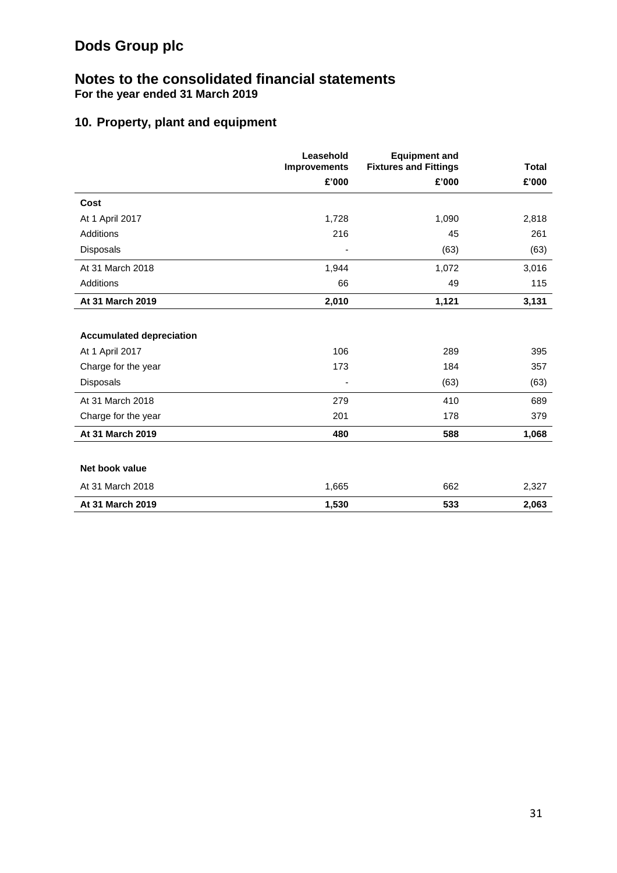## **Notes to the consolidated financial statements For the year ended 31 March 2019**

## **10. Property, plant and equipment**

|                                 | Leasehold<br><b>Improvements</b> | <b>Equipment and</b><br><b>Fixtures and Fittings</b> | <b>Total</b> |
|---------------------------------|----------------------------------|------------------------------------------------------|--------------|
|                                 | £'000                            | £'000                                                | £'000        |
| Cost                            |                                  |                                                      |              |
| At 1 April 2017                 | 1,728                            | 1,090                                                | 2,818        |
| Additions                       | 216                              | 45                                                   | 261          |
| <b>Disposals</b>                |                                  | (63)                                                 | (63)         |
| At 31 March 2018                | 1,944                            | 1,072                                                | 3,016        |
| Additions                       | 66                               | 49                                                   | 115          |
| At 31 March 2019                | 2,010                            | 1,121                                                | 3,131        |
|                                 |                                  |                                                      |              |
| <b>Accumulated depreciation</b> |                                  |                                                      |              |
| At 1 April 2017                 | 106                              | 289                                                  | 395          |
| Charge for the year             | 173                              | 184                                                  | 357          |
| Disposals                       |                                  | (63)                                                 | (63)         |
| At 31 March 2018                | 279                              | 410                                                  | 689          |
| Charge for the year             | 201                              | 178                                                  | 379          |
| At 31 March 2019                | 480                              | 588                                                  | 1,068        |
|                                 |                                  |                                                      |              |
| Net book value                  |                                  |                                                      |              |
| At 31 March 2018                | 1,665                            | 662                                                  | 2,327        |
| At 31 March 2019                | 1,530                            | 533                                                  | 2,063        |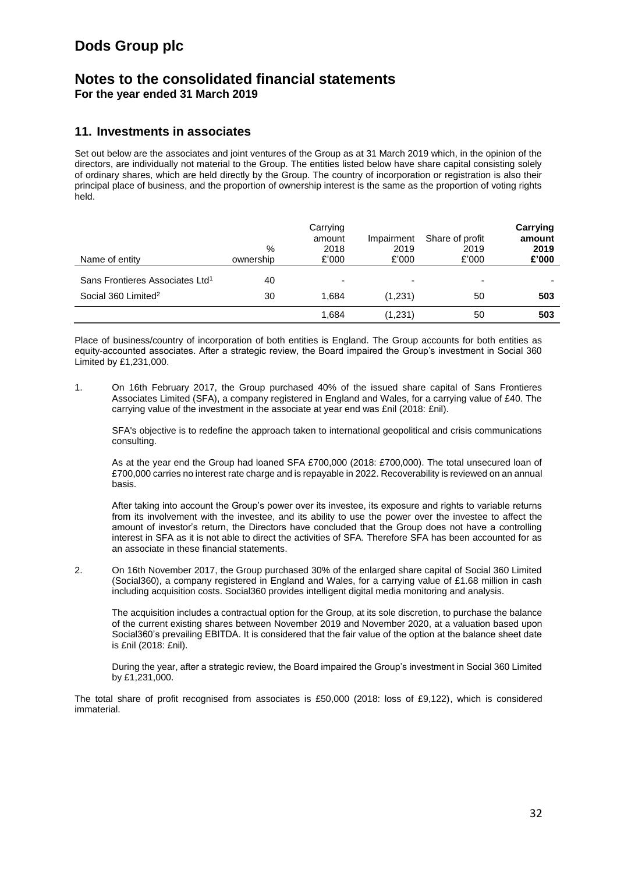# **Notes to the consolidated financial statements**

**For the year ended 31 March 2019**

## **11. Investments in associates**

Set out below are the associates and joint ventures of the Group as at 31 March 2019 which, in the opinion of the directors, are individually not material to the Group. The entities listed below have share capital consisting solely of ordinary shares, which are held directly by the Group. The country of incorporation or registration is also their principal place of business, and the proportion of ownership interest is the same as the proportion of voting rights held.

| Name of entity                              | %<br>ownership | Carrying<br>amount<br>2018<br>£'000 | Impairment<br>2019<br>£'000 | Share of profit<br>2019<br>£'000 | Carrying<br>amount<br>2019<br>£'000 |
|---------------------------------------------|----------------|-------------------------------------|-----------------------------|----------------------------------|-------------------------------------|
| Sans Frontieres Associates Ltd <sup>1</sup> | 40             | ٠                                   |                             |                                  |                                     |
| Social 360 Limited <sup>2</sup>             | 30             | 1.684                               | (1,231)                     | 50                               | 503                                 |
|                                             |                | 1,684                               | (1,231)                     | 50                               | 503                                 |

Place of business/country of incorporation of both entities is England. The Group accounts for both entities as equity-accounted associates. After a strategic review, the Board impaired the Group's investment in Social 360 Limited by £1,231,000.

1. On 16th February 2017, the Group purchased 40% of the issued share capital of Sans Frontieres Associates Limited (SFA), a company registered in England and Wales, for a carrying value of £40. The carrying value of the investment in the associate at year end was £nil (2018: £nil).

SFA's objective is to redefine the approach taken to international geopolitical and crisis communications consulting.

As at the year end the Group had loaned SFA £700,000 (2018: £700,000). The total unsecured loan of £700,000 carries no interest rate charge and is repayable in 2022. Recoverability is reviewed on an annual basis.

After taking into account the Group's power over its investee, its exposure and rights to variable returns from its involvement with the investee, and its ability to use the power over the investee to affect the amount of investor's return, the Directors have concluded that the Group does not have a controlling interest in SFA as it is not able to direct the activities of SFA. Therefore SFA has been accounted for as an associate in these financial statements.

2. On 16th November 2017, the Group purchased 30% of the enlarged share capital of Social 360 Limited (Social360), a company registered in England and Wales, for a carrying value of £1.68 million in cash including acquisition costs. Social360 provides intelligent digital media monitoring and analysis.

The acquisition includes a contractual option for the Group, at its sole discretion, to purchase the balance of the current existing shares between November 2019 and November 2020, at a valuation based upon Social360's prevailing EBITDA. It is considered that the fair value of the option at the balance sheet date is £nil (2018: £nil).

During the year, after a strategic review, the Board impaired the Group's investment in Social 360 Limited by £1,231,000.

The total share of profit recognised from associates is £50,000 (2018: loss of £9,122), which is considered immaterial.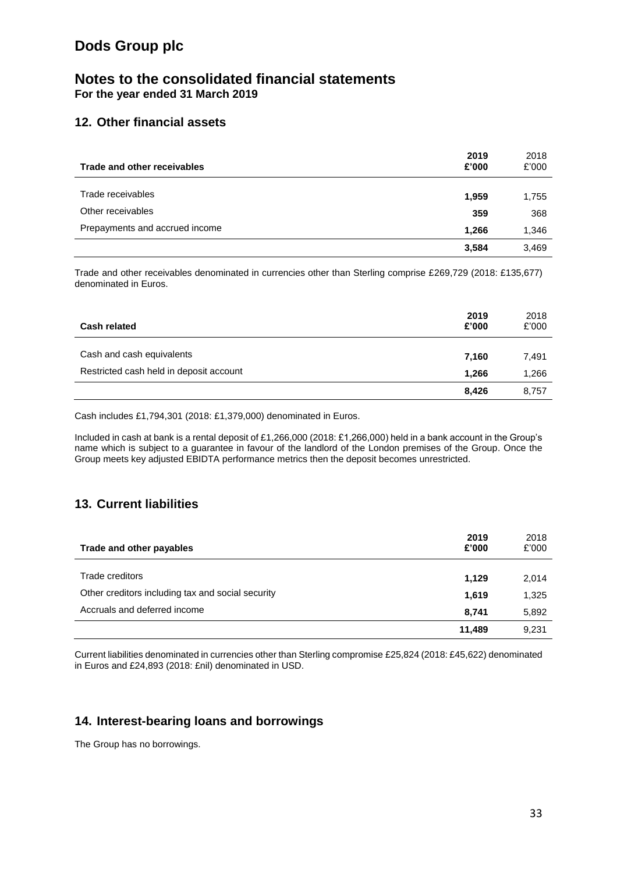## **Notes to the consolidated financial statements For the year ended 31 March 2019**

## **12. Other financial assets**

| Trade and other receivables    | 2019<br>£'000 | 2018<br>£'000 |
|--------------------------------|---------------|---------------|
|                                |               |               |
| Trade receivables              | 1,959         | 1,755         |
| Other receivables              | 359           | 368           |
| Prepayments and accrued income | 1,266         | 1,346         |
|                                | 3,584         | 3,469         |

Trade and other receivables denominated in currencies other than Sterling comprise £269,729 (2018: £135,677) denominated in Euros.

| <b>Cash related</b>                                                  | 2019<br>£'000  | 2018<br>£'000  |
|----------------------------------------------------------------------|----------------|----------------|
| Cash and cash equivalents<br>Restricted cash held in deposit account | 7.160          | 7,491          |
|                                                                      | 1,266<br>8,426 | 1,266<br>8,757 |

Cash includes £1,794,301 (2018: £1,379,000) denominated in Euros.

Included in cash at bank is a rental deposit of £1,266,000 (2018: £1,266,000) held in a bank account in the Group's name which is subject to a guarantee in favour of the landlord of the London premises of the Group. Once the Group meets key adjusted EBIDTA performance metrics then the deposit becomes unrestricted.

## **13. Current liabilities**

| Trade and other payables                          | 2019<br>£'000 | 2018<br>£'000 |
|---------------------------------------------------|---------------|---------------|
|                                                   |               |               |
| Trade creditors                                   | 1.129         | 2,014         |
| Other creditors including tax and social security | 1,619         | 1,325         |
| Accruals and deferred income                      | 8.741         | 5,892         |
|                                                   | 11.489        | 9,231         |

Current liabilities denominated in currencies other than Sterling compromise £25,824 (2018: £45,622) denominated in Euros and £24,893 (2018: £nil) denominated in USD.

## **14. Interest-bearing loans and borrowings**

The Group has no borrowings.